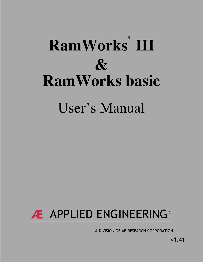# ® **RamWorks III & [RamWorks basic](#page-2-0)**

# User's Manual

# **Æ** APPLIED ENGINEERING®

A DIVISION OF AE RESEARCH CORPORATION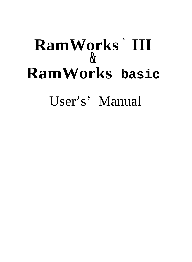# $\mathbf{RamW}$ orks III **& RamWorks basic**

User's' Manual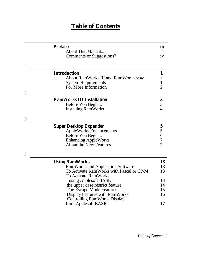## **Table of Contents**

<span id="page-2-0"></span>

| <b>Preface</b>                               | iii                     |
|----------------------------------------------|-------------------------|
| About This Manual                            | $\overline{\text{iii}}$ |
| Comments or Suggestions?                     | iv                      |
|                                              |                         |
| <b>Introduction</b>                          | 1                       |
| <b>About RamWorks III and RamWorks basic</b> | 1                       |
| <b>System Requirements</b>                   | 1                       |
| For More Information                         | $\overline{2}$          |
|                                              |                         |
| <b>RamWorks III Installation</b>             | $\frac{3}{3}$           |
| Before You Begin                             |                         |
| <b>Installing RamWorks</b>                   |                         |
|                                              |                         |
| <b>Super Desktop Expander</b>                |                         |
| <b>AppleWorks Enhancements</b>               | 5<br>5<br>5<br>6<br>7   |
| Before You Begin                             |                         |
| <b>Enhancing AppleWorks</b>                  |                         |
| <b>About the New Features</b>                | $\overline{7}$          |
|                                              |                         |
| <b>Using RamWorks</b>                        | 13                      |
| <b>RamWorks and Application Software</b>     | 13                      |
| To Activate RamWorks with Pascal or CP/M     | 13                      |
| <b>To Activate RamWorks</b>                  |                         |
| using Applesoft BASIC                        | 13                      |
| the upper case restrict feature              | 14                      |
| The Escape Mode Features                     | 15                      |
| <b>Display Features with RamWorks</b>        | 16                      |
| <b>Controlling RamWorks Display</b>          |                         |
|                                              |                         |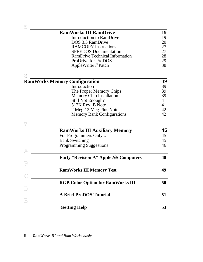|             | <b>RamWorks III RamDrive</b>                  | 19 |
|-------------|-----------------------------------------------|----|
|             |                                               |    |
|             | Introduction to RamDrive                      | 19 |
|             | DOS 3.3 RamDrive                              | 20 |
|             | <b>RAMCOPY</b> Instructions                   | 27 |
|             | <b>SPEEDOS</b> Documentation                  | 27 |
|             | <b>RamDrive Technical Information</b>         | 28 |
|             | <b>ProDrive for ProDOS</b>                    | 29 |
|             | AppleWriter II Patch                          | 38 |
| б           |                                               |    |
|             | <b>RamWorks Memory Configuration</b>          | 39 |
|             | Introduction                                  | 39 |
|             | The Proper Memory Chips                       | 39 |
|             | <b>Memory Chip Installation</b>               | 39 |
|             | <b>Still Not Enough?</b>                      | 41 |
|             | 512K Rev. B Note                              | 41 |
|             | 2 Meg / 2 Meg Plus Note                       | 42 |
|             | <b>Memory Bank Configurations</b>             | 42 |
|             |                                               |    |
|             | <b>RamWorks III Auxiliary Memory</b>          | 45 |
|             | For Programmers Only                          | 45 |
|             | <b>Bank Switching</b>                         | 45 |
|             | <b>Programming Suggestions</b>                | 46 |
| A           |                                               |    |
|             | <b>Early "Revision A" Apple //e Computers</b> | 48 |
| $\mathbb B$ |                                               |    |
|             | <b>RamWorks III Memory Test</b>               | 49 |
|             |                                               |    |
|             | <b>RGB Color Option for RamWorks III</b>      | 50 |
|             | <b>A Brief ProDOS Tutorial</b>                | 51 |
| $\mathbb E$ |                                               |    |
|             | <b>Getting Help</b>                           | 53 |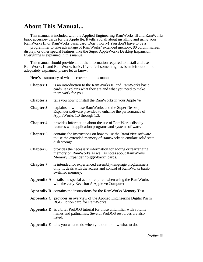## **About This Manual...**

This manual is included with the Applied Engineering RamWorks Ill and RamWorks basic accessoiy cards for the Apple IIe. It tells you all about installing and using your RamWorks Ill or RamWorks basic card. Don't worry! You don't have to be a

programmer to take advantage of RamWorks' extended memory, 80 column screen display, or other special features, like the Super AppleWorks Desktop Expansion. Everything is explained in this manual.

This manual should provide all of the information required to install and use RamWorks Ill and RamWorks basic. If you feel something has been left out or not adequately explained, please let us know.

Here's a summary of what is covered in this manual:

<span id="page-4-0"></span>

| <b>Chapter 1</b> | is an introduction to the RamWorks III and RamWorks basic<br>cards. It explains what they are and what you need to make<br>them work for you.             |
|------------------|-----------------------------------------------------------------------------------------------------------------------------------------------------------|
| <b>Chapter 2</b> | tells you how to install the RamWorks in your Apple //e                                                                                                   |
| <b>Chapter 3</b> | explains how to use RamWorks and the Super Desktop<br>Expander software provided to enhance the performance of<br>AppleWorks 1.0 through 1.3.             |
| <b>Chapter 4</b> | provides information about the use of RamWorks display<br>features with application programs and system software.                                         |
| Chapter 5        | contains the instructions on how to use the RamDrive software<br>to use the extended memory of RamWorks to emulate solid state<br>disk storage.           |
| <b>Chapter 6</b> | provides the necessary information for adding or rearranging<br>memory on RamWorks as well as notes about RamWorks<br>Memory Expander "piggy-back" cards. |
| <b>Chapter 7</b> | is intended for experienced assembly-language programmers<br>only. It deals with the access and control of RamWorks bank-<br>switched memory.             |
|                  | Appendix A details the special action required when using the RamWorks<br>with the early Revision A Apple //e Computer.                                   |
|                  | <b>Appendix B</b> contains the instructions for the RamWorks Memory Test.                                                                                 |
|                  | Appendix C provides an overview of the Applied Engineering Digital Prism<br>RGB Option card for RamWorks.                                                 |
|                  | <b>Appendix D</b> is a brief ProDOS tutorial for those unfamiliar with volume<br>names and pathnames. Several ProDOS resources are also<br>listed.        |
|                  | <b>Appendix E</b> tells you what to do when you don't know what to do.                                                                                    |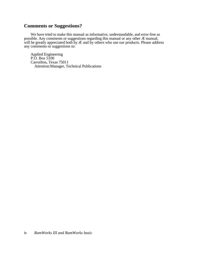## <span id="page-5-0"></span>**Comments or Suggestions?**

We have tried to make this manual as informative, understandable, and error-free as possible. Any comments or suggestions regarding this manual or any other Æ manual, will be greatly appreciated both by  $E$  and by others who use our products. Please address any comments or suggestions to:

Applied Engineering P.O. Box 5100 Carroilton, Texas 75011 Attention:Manager, Technical Publications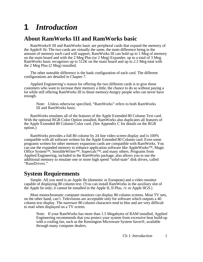## <span id="page-6-0"></span>**1**: *Introduction*

## **About RamWorks III and RamWorks basic**

RamWorks® III and RamWorks basic are peripheral cards that expand the memory of the Apple® *lle.* The two cards are virtually the same, the main difference being in the amount of memory each card will support; RamWorks III can hold up to 1 Meg of memory on the main board and with the 2 Meg Plus (or 2 Meg) Expander, up to a total of 3 Meg. RamWorks basic recognizes up to 512K on the main board and up to *2.5* Meg total with the 2 Meg Plus (2 Meg) installed.

The other noteable difference is the bank configuration of each card. The different configurations are detailed in Chapter 7.

Applied Engineering's reason for offering the two different cards is to give those customers who want to increase their memory a little, the chance to do so without paying a lot while still offering RamWorks III to those memory-hungry people who can never have enough.

Note: Unless otherwise specified, "RamWorks" refers to both RamWorks III and RamWorks basic.

RamWorks emulates all of the features of the Apple Extended 80 Column Text card. With the optional RGB Color Option installed, RamWorks also duplicates all features of the Apple Extended 80 Column Color card. (See Appendix C for details on the RGB option.)

RamWorks provides a full 80 column by 24 line video screen display and is 100% compatible with all software written for the Apple Extended 80 Column card. Even some programs written for other memory expansion cards are compatible with RamWorks. You can use the expanded memory to enhance application software like AppleWorks™, Magic Office System<sup>™</sup>, SensibleWriter<sup>™</sup>, Supercalc<sup>™</sup>, and many others. Programs from Applied Engineering, included in the RamWorks package, also allows you to use the additional memory to emulate one or more high speed "solid-state" disk drives, called "RamDrives."

## **System Requirements**

Simple. All you need is an Apple IIe (domestic or European) and a video monitor capable of displaying 80 column text. (You can install RamWorks in the auxiliary slot of the Apple lie only; it cannot be installed in the Apple II, II Plus, //c or Apple IIGS.)

Most monochromatic computer monitors can display 80 column screens. Most TV sets, on the other hand, can't. Televisions are acceptable only for software which outputs a 40 column text display. The narrower 80 column characters tend to blur and are very difficult to read when displayed on a TV screen.

Note: If your RamWorks has more than 1.5 Megabytes of RAM installed, Applied Engineering recommends that you protect your system from excessive heat build-up with a cooling fan, such as the Kensington Microware System Saver®, available through many computer dealers.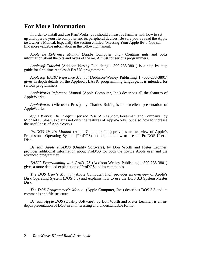## <span id="page-7-0"></span>**For More Information**

In order to install and use RamWorks, you should at least be familiar with how to set up and operate your IIe computer and its peripheral devices. Be sure you've read the Apple *lie* Owner's Manual. Especially the section entitled "Meeting Your Apple IIe*"!* You can find more valuable information in the following manual:

*Apple lie Reference Manual* (Apple Computer, Inc.) Contains nuts and bolts information about the bits and bytes of the //e. A must for serious programmers.

*Applesoft Tutorial* (Addison-Wesley Publishing 1-800-238-3801) is a step by step guide for first-time Applesoft BASIC programmers.

*Applesoft BASIC Reference Manual* (Addison-Wesley Publishing 1 -800-238-3801) gives in depth details on the Applesoft BASIC programming language. It is intended for serious programmers.

*AppleWorks Reference Manual* (Apple Computer, Inc.) describes all the features of AppleWorks.

*AppleWorks* (Microsoft Press), by Charles Rubin, is an excellent presentation of AppleWorks.

*Apple Works: The Program for the Rest of Us* (Scott, Foresman, and Company), by Michael L. Sloan, explains not only the features of AppleWorks, but also how to increase the usefulness of AppleWorks.

*ProDOS User's Manual* (Apple Computer, Inc.) provides an overview of Apple's Professional Operating System (ProDOS) and explains how to use the ProDOS User's Disk.

*Beneath Apple ProDOS* (Quality Software), by Don Worth and Pieter Lechner, provides additional information about ProDOS for both the novice Apple user and the advanced programmer.

*BASIC Programming with ProD OS* (Addison-Wesley Publishing 1-800-238-3801) gives a more detailed explanation of ProDOS and its commands.

*The DOS User's Manual* (Apple Computer, Inc.) provides an overview of Apple's Disk Operating System (DOS 3.3) and explains how to use the DOS 3.3 System Master Disk.

*The DOS Programmer's Manual* (Apple Computer, Inc.) describes DOS 3.3 and its commands and file structure.

*Beneath Apple DOS* (Quality Software), by Don Worth and Pieter Lechner, is an indepth presentation of DOS in an interesting and understandable format.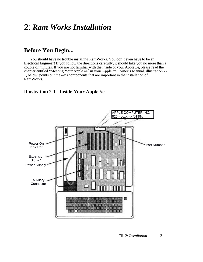## <span id="page-8-0"></span>2: *Ram Works Installation*

## **Before You Begin...**

You should have no trouble installing RamWorks. You don't even have to be an Electrical Engineer! If you follow the directions carefully, it should take you no more than a couple of minutes. If you are not familiar with the inside of your Apple //e, please read the chapter entitled "Meeting Your Apple //e*"* in your Apple //e Owner's Manual. illustration 2- 1, below, points out the  $\bar{e}$ 's components that are important in the installation of RamWorks.

## **Illustration 2-1 Inside Your Apple //e**

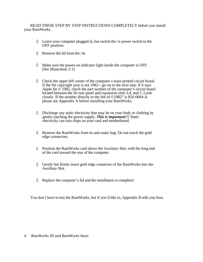<span id="page-9-0"></span>READ THESE STEP BY STEP INSTRUCTIONS COMPLETELY before you install your RamWorks.

> Leave your computer plugged in, but switch the //e power switch to the OFF position.

Remove the lid from the //e.

Make sure the power-on indicator light inside the computer is OFF. (See Illustration 2-1)

Check the upper left corner of the computer s main printed circuit board. If the He copyright year is not 1982—go on to the next step. If it says Apple IIe © 1982, check the part number of the computer's circuit board located between the *IIe* rear panel and expansion slots 3,4, and *5.* Look closely. If the number directly to the left of ©1982" is 820-0064-A please see Appendix A before installing your RamWorks.

Discharge any static electricity that may be on your body or clothing by gently touching the power supply. *This is important!!!* Static electricity can ruin chips on your card and motherboard.

Remove the RamWorks from its anti-static bag. Do not touch the gold edge connectors.

Position the RamWorks card above the Auxiliary Slot, with the long end of the card toward the rear of the computer.

Gently but firmly insert gold edge connector of the RamWorks into the Auxiliary Slot.

Replace the computer's lid and the installation is complete!

You don't have to test the RamWorks, but if you'd like to, Appendix B tells you how.

*4 RamWorks III and RamWorks basic*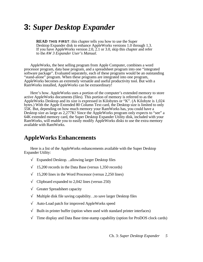## <span id="page-10-0"></span>**3:** *Super Desktop Expander*

**READ THIS FIRST**: this chapter tells you how to use the Super Desktop Expander disk to enhance AppleWorks versions 1.0 through 1.3. If you have AppleWorks version 2.0, 2.1 or 3.0, skip this chapter and refer to the *AW 3 Expander User's Manual.*

AppleWorks, the best selling program from Apple Computer, combines a word processor program, data base program, and a spreadsheet program into one "integrated software package". Evaluated separately, each of these programs would be an outstanding "stand-alone" program. When these programs are integrated into one program, AppleWorks becomes an extremely versatile and useful productivity tool. But with a RamWorks installed, AppleWorks can be extraordinary!

Here's how. AppleWorks uses a portion of the computer's extended memory to store active AppleWorks documents (files). This portion of memory is referred to as the AppleWorks Desktop and its size is expressed in Kilobytes or "K". (A Kilobyte is 1,024 bytes.) With the Apple Extended 80 Column Text card, the Desktop size is limited to only *55K.* But, depending on how much memory your RamWorks has, you could have a Desktop size as large as 2,277K! Since the AppleWorks program only expects to "see" a 64K extended memory card, the Super Desktop Expander Utility disk, included with your RamWorks, will enable you to easily modify AppleWorks disks to use the extra memory available with RamWorks.

## **AppleWorks Enhancements**

Here is a list of the AppleWorks enhancements available with the Super Desktop Expander Utility:

Expanded Desktop. ..allowing larger Desktop files

15,200 records in the Data Base (versus 1,350 records)

15,200 lines in the Word Processor (versus 2,250 lines)

Clipboard expanded to 2,042 lines (versus 250)

Greater Spreadsheet capacity

Multiple disk file saving capability. ..to save larger Desktop files

Auto-Load patch for improved AppleWorks speed

Built-in printer buffer (option when used with standard printer interfaces)

Time display and Data Base time-stamp capability (option for ProDOS clock cards)

Ch. 3: *Super Desktop Expander 5*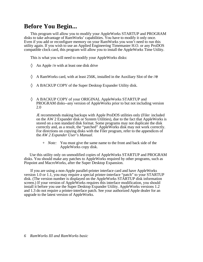## <span id="page-11-0"></span>**Before You Begin...**

This program will allow you to modify your AppleWorks STARTUP and PROGRAM disks to take advantage of RamWorks' capabilities. You have to modify it only once. Even if you add or reconfigure memory on your RamWorks you won't need to run this utility again. If you wish to use an Applied Engineering Timemaster H.O. or any ProDOS compatible clock card, this program will allow you to install the AppleWorks Time Utility.

This is what you will need to modify your AppleWorks disks:

An Apple //e with at least one disk drive

A RamWorks card, with at least 256K, installed in the Auxiliary Slot of the //e

A BACKUP COPY of the Super Desktop Expander Utility disk.

A BACKUP COPY of your ORIGINAL AppleWorks STARTUP and PROGRAM disks--any version of AppleWorks prior to but not including version 2.0

Æ recommends making backups with Apple ProDOS utilities only (Filer - included on the AW 2 Expander disk or System Utilities), due to the fact that AppleWorks is stored on a non standard disk format. Some programs may not duplicate the disk correctly and, as a result, the "patched" AppleWorks disk may not work correctly. For directions on copying disks with the Filer program, refer to the appendices of the *AW 2 Expander User's Manual.*

*+ Note:* You must give the same name to the front and back side of the AppleWorks copy disk.

Use this utility only on unmodified copies of AppleWorks STARTUP and PROGRAM disks. You should make any patches to AppleWorks required by other programs, such as Pinpoint and MacroWorks, after the Super Desktop Expansion.

If you are using a non-Apple parallel-printer interface card and have AppleWorks version 1.0 or 1.1, you may require a special printer-interface "patch" to your STARTUP disk. (The version number is displayed on the AppleWorks STARTUP disk information screen.) If your version of AppleWorks requires this interface modification, you should install it before you use the Super Desktop Expander Utility. AppleWorks versions 1.2 and 1.3 do not require a printer-interface patch. See your authorized Apple dealer for an upgrade to the latest version of AppleWorks.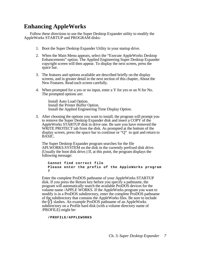## <span id="page-12-0"></span>**Enhancing AppleWorks**

Follow these directions to use the Super Desktop Expander utility to modify the AppleWorks STARTUP and PROGRAM disks:

- 1. Boot the Super Desktop Expander Utility in your startup drive.
- 2. When the Main Menu appears, select the "Execute AppleWorks Desktop Enhancements" option. The Applied Engineering Super Desktop Expander copyright screen will then appear. To display the next screen, press the space bar.
- 3. The features and options available are described briefly on the display screens, and in greater detail in the next section of this chapter, About the New Features. Read each screen carefully.
- 4. When prompted for a yes or no input, enter a Y for yes or an N for No. The prompted options are:

Install Auto Load Option. Install the Printer Buffer Option. Install the Applied Engineering Time Display Option.

*5.* After choosing the options you want to install, the program will prompt you to remove the Super Desktop Expander disk and insert a COPY of the AppleWorks STARTUP disk in drive one. Be sure you have removed the WRITE PROTECT tab from the disk. As prompted at the bottom of the display screen, press the space bar to continue or "Q" to quit and return to BASIC.

The Super Desktop Expander program searches for the file APLWORKS.SYSTEM on the disk in the currently prefixed disk drive. (Usually the boot disk drive.) If, at this point, the program displays the following message:

```
Cannot find correct file
Please enter the prefix of the AppleWorks program
7
```
Enter the complete ProDOS pathname of your AppleWorks STARTUP disk. If you press the Return key before you specify a pathname, the program will automatically search the available ProDOS devices for the volume name /APPLE WORKS. If the AppleWorks program you want to modify is in a ProDOS subdirectory, enter the complete ProDOS pathname of the subdirectory that contains the AppleWorks files. Be sure to include the (/) slashes. An example ProDOS pathname of an AppleWorks subdirectory on a Profile hard disk (with a volume directory name of /PROFILE) might be:

#### **/PROFILE/APPLEWORKS**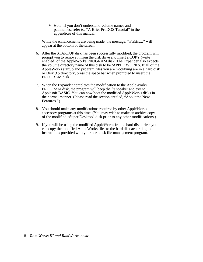*+ Note:* If you don't understand volume names and pathnames, refer to, "A Brief ProDOS Tutorial" in the appendices of this manual.

While the enhancements are being made, the message, 'Working..." will appear at the bottom of the screen.

- 6. After the STARTUP disk has been successfully modified, the program will prompt you to remove it from the disk drive and insert a COPY (write enabled) of the AppleWorks PROGRAM disk. The Expander also expects the volume directory name of this disk to be /APPLE WORKS. If all of the AppleWorks startup and program files you are modifying are in a hard disk or Disk *3.5* directory, press the space bar when prompted to insert the PROGRAM disk.
- 7. When the Expander completes the modification to the AppleWorks PROGRAM disk, the program will beep the *lie* speaker and exit to Applesoft BASIC. You can now boot the modified AppleWorks disks in the normal manner. (Please read the section entitled, "About the New Features.")
- 8. You should make any modifications required by other AppleWorks accessory programs at this time. (You may wish to make an archive copy of the modified "Super Desktop" disk prior to any other modifications.)
- 9. If you will be using the modified AppleWorks from a hard disk drive, you can copy the modified AppleWorks files to the hard disk according to the instructions provided with your hard disk file management program.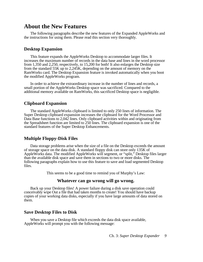## **About the New Features**

The following paragraphs describe the new features of the Expanded AppleWorks and the instructions for using them. Please read this section very thoroughly.

#### **Desktop Expansion**

This feature expands the AppleWorks Desktop to accommodate larger files. It increases the maximum number of records in the data base and lines in the word processor from 1,350 and 2,250, respectively, to 15,200 for both! It also enlarges the Desktop size from the standard 55K up to 2,245K, depending on the amount of memory on the RamWorks card. The Desktop Expansion feature is invoked automatically when you boot the modified AppleWorks program.

In order to achieve the extraordinary increase in the number of lines and records, a small portion of the AppleWorks Desktop space was sacrificed. Compared to the additional memory available on RamWorks, this sacrificed Desktop space is negligible.

#### **Clipboard Expansion**

The standard AppleWorks clipboard is limited to only 250 lines of information. The Super Desktop clipboard expansion increases the clipboard for the Word Processor and Data Base functions to 2,042 lines. Only clipboard activities within and originating from the Spreadsheet function are limited to 250 lines. The clipboard expansion is one of the standard features of the Super Desktop Enhancements.

#### **Multiple Floppy-Disk Files**

Data storage problems arise when the size of a file on the Desktop exceeds the amount of storage space on the data disk. A standard floppy disk can store only 135K of AppleWorks data. The modified AppleWorks will segment, or "split," Desktop files larger than the available disk space and save them in sections to two or more disks. The following paragraphs explain how to use this feature to save and load segmented Desktop files.

This seems to be a good time to remind you of Murphy's Law:

#### **Whatever can go wrong will go wrong.**

Back up your Desktop files! A power failure during a disk save operation could conceivably wipe Out a file that had taken months to create! You should have backup copies of your working data disks, especially if you have large amounts of data stored on them.

#### **Save Desktop Files to Disk**

When you save a Desktop file which exceeds the data disk space available, AppleWorks will prompt you with the following message:

Ch. 3: *Super Desktop Expander 9*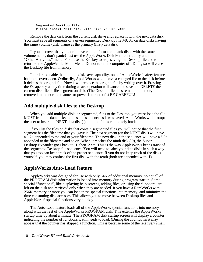**Segmented Desktop File... Please insert NEXT disk with SAME VOLUME NAME**

Remove the data disk from the current disk drive and replace it with the next data disk. You must save all segments of a given segmented Desktop file MUST on data disks having the same volume (disk) name as the primary (first) data disk.

If you discover that you don't have enough formatted blank disks with the same volume name, don't panic! Just use the AppleWorks Disk Formatter utility under the "Other Activities" menu. First, use the Esc key to stop saving the Desktop file and to return to the AppleWorks Main Menu. Do not turn the computer off. Doing so will erase the Desktop file from memory.

In order to enable the multiple disk save capability, one of AppleWorks' safety features had to be overridden. Ordinarily, AppleWorks would save a changed file to the disk before it deletes the original file. Now it will replace the original file by writing over it. Pressing the Escape key at any time during a save operation will cancel the save and DELETE the current disk file or file segment on disk. (The Desktop file does remain in memory until removed in the normal manner or power is turned off.) BE CAREFUL!

#### **Add multiple-disk files to the Desktop**

When you add multiple-disk, or segmented, files to the Desktop, you must load the file MUST from the data disks in the same sequence as it was saved. AppleWorks will prompt the user to insert the NEXT data disk(s) until the file is completely loaded.

If you list the files on disks that contain segmented files you will notice that the first segment has the filename that you gave it. The next segment (on the NEXT disk) will have a ".2" appended to the end of your filename. The next disk in the sequence will have a ".3" appended to the filename and so on. When it reaches the ninth disk (.9), the Super Desktop Expander goes back to .1, then .2 etc. This is the way AppleWorks keeps track of the segmented Desktop file sequence. You will need to label your data disks in such a way that you too can keep track of the proper sequence. If you do not keep track of the disks yourself, you may confuse the first disk with the tenth (both are appended with .1).

#### **AppleWorks Auto-Load feature**

AppleWorks was designed for use with only 64K of additional memory, so not all of the PROGRAM disk information is loaded into memory during program startup. Some special "functions", like displaying help screens, adding files, or using the clipboard, are left on the disk and retrieved only when they are needed. If you have a RamWorks with 256K memory or more you can load these special functions into memory, and minimize the time consuming disk accesses. This allows you to move between Desktop files and AppleWorks' special functions very quickly.

The Auto-Load feature loads all of the AppleWorks special functions into memory along with the rest of the AppleWorks PROGRAM disk. This extends the AppleWorks startup time by about a minute. The PROGRAM disk startup screen will display a counter indicating the number of functions it still needs to load. (During the countdown it may appear that the counter has skipped a function. This is because some of the relatively small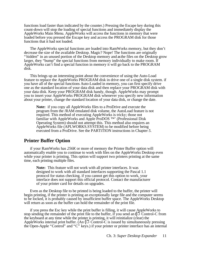functions load faster than indicated by the counter.) Pressing the Escape key during this count-down will stop the loading of special functions and immediately display the AppleWorks Main Menu. AppleWorks will access the functions in memory that were loaded before you pressed the Escape key and access the PROGRAM disk for those functions that it had not loaded.

The AppleWorks special functions are loaded into RamWorks memory, but they don't decrease the size of the available Desktop. Magic? Nope! The functions are originally " hidden" in an unused portion of the Desktop memory and as the files on the Desktop grow larger, they "bump" the special functions from memory individually to make room. If AppleWorks can't find a special function in memory it will go back to the PROGRAM disk.

This brings up an interesting point about the convenience of using the Auto-Load feature to replace the AppleWorks PROGRAM disk in drive one of a single disk system. if you have all of the special functions Auto-Loaded in memory, you can first specify drive one as the standard location of your data disk and then replace your PROGRAM disk with your data disk. Keep your PROGRAM disk handy, though. AppleWorks may prompt you to insert your AppleWorks PROGRAM disk whenever you specify new information about your printer, change the standard location of your data disk, or change the date.

**Note:** if you copy all AppleWorks files to a ProDrive and execute the program from the /RAM emulated disk volume, the AutoLoad feature is not required. This method of executing AppleWorks is tricky; those not familiar with AppleWorks and Apple ProDOS ™' (Professional Disk Operating System) should not attempt this. This method also requires an AppleWorks file (APLWORKS.SYSTEM) to be modified before being executed from a ProDrive. See the PARTiTION instructions in Chapter *5.*

## **Printer Buffer Option**

if your RamWorks has *256K* or more of memory the Printer Buffer option will automatically enable you to continue to work with files on the AppleWorks Desktop even while your printer is printing. This option will support two printers printing at the same time, each printing multiple files.

**Note:** This feature will not work with all printer interfaces. It was designed to work with all standard interfaces supporting the Pascal 1.1 protocol for status checking. if you cannot get this option to work, your interface does not support this official protocol. Contact the manufacturer of your printer card for details on upgrades.

Even as the Desktop file to be printed is being loaded to the buffer, the printer will begin printing, if the printer is printing an exceptionally large file and the computer seems to be locked, it is probably caused by insufficient buffer space. The AppleWorks Desktop will return as soon as the buffer can hold the remainder of the print file.

if you press the Esc key while the print buffer is filling, it will cause AppleWorks to stop sending the remainder of the print file to the buffer, if you send an  $(\mathbb{C}$  Control-C from the keyboard at any time while the printer is printing, it will reinitialize (clear) the AppleWorks internal print buffer. (An  $(\mathbb{C}$  Control-C is issued by simultaneously pressing the Open-Apple "Control" and "C" keys.) if your printer or printer interface has an internal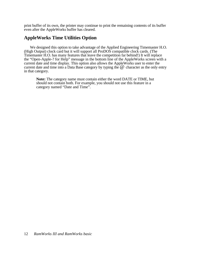print buffer of its own, the printer may continue to print the remaining contents of its buffer even after the AppleWorks buffer has cleared.

## **AppleWorks Time Utilities Option**

We designed this option to take advantage of the Applied Engineering Timemaster H.O. (High Output) clock card but it will support all ProDOS compatible clock cards. (The Timemaster H.O. has many features that leave the competition far behind!) It will replace the "Open-Apple-? for Help" message in the bottom line of the AppleWorks screen with a current date and time display. This option also allows the AppleWorks user to enter the current date and time into a Data Base category by typing the  $\omega$  character as the only entry in that category.

**Note:** The category name must contain either the word DATE or TIME, but should not contain both. For example, you should not use this feature in a category named "Date and Time".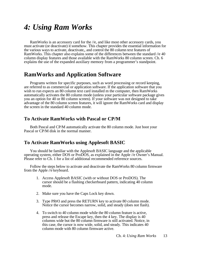## <span id="page-18-0"></span>*4: Using Ram Works*

RamWorks is an accessory card for the //e, and like most other accessory cards, you must activate (or deactivate) it somehow. This chapter provides the essential information for the various ways to activate, deactivate,, and control the 80 column text features of RamWorks. This chapter also explains some of the differences between the standard //e 40 column display features and those available with the RamWorks 80 column screen. Ch. 6 explains the use of the expanded auxiliary memory from a programmer's standpoint.

## **RamWorks and Application Software**

Programs written for specific purposes, such as word processing or record keeping, are referred to as commercial or application software. If the application software that you wish to run expects an 80 column text card installed m the computer, then RamWorks automatically activates the 80 column mode (unless your particular software package gives you an option for 40 or 80 column screen). If your software was not designed to take advantage of the 80 column screen features, it will ignore the RamWorks card and display the screen in the standard 40 column mode.

## **To Activate RamWorks with Pascal or CP/M**

Both Pascal and CP/M automatically activate the 80 column mode. Just boot your Pascal or CP/M disk in the normal manner.

## **To Activate RamWorks using Applesoft BASIC**

You should be familiar with the Applesoft BASIC language and the applicable operating system, either DOS or ProDOS, as explained in the Apple //e Owner's Manual. Please refer to Ch. 1 for a list of additional recommended reference sources.

Follow the steps below to activate and deactivate the RamWorks 80 column firmware from the Apple *//e* keyboard.

- 1. Access Applesoft BASIC (with or without DOS or ProDOS). The cursor should be a flashing checkerboard pattern, indicating 40 column mode.
- 2. Make sure you have the Caps Lock key down.
- 3. Type PR#3 and press the RETURN key to activate 80 column mode. Notice the cursor becomes narrow, solid, and steady (does not flash).
- 4. To switch to 40 column mode while the 80 column feature is active, press and release the Escape key, then the 4 key. The display is 40 columns wide but the 80 column firmware is still activated. Notice, in this case, the cursor is now wide, solid, and steady. This indicates 40 column mode with 80 column firmware active.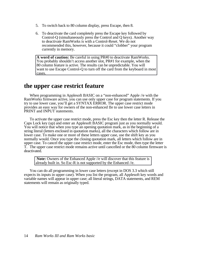- <span id="page-19-0"></span>5. To switch back to 80 column display, press Escape, then 8.
- 6. To deactivate the card completely press the Escape key followed by Control-Q (simultaneously press the Control and Q keys). Another way to deactivate RamWorks is with a Control-Reset. We do not recommended this, however, because it could "clobber" your program currently in memory.

**A word of caution:** Be careful in using PR#0 to deactivate RamWorks. You probably shouldn't access another slot, PR#1 for example, when the 80 column feature is active. The results can be unpredictable. You will want to use Escape Control-Q to turn off the card from the keyboard in most cases.

## **the upper case restrict feature**

When programming in Applesoft BASIC on a "non-enhanced" Apple //e with the RamWorks firmware active, you can use only upper case for program statements. If you try to use lower case, you'll get a SYNTAX ERROR. The upper case restrict mode provides an easy way for owners of the non-enhanced IIe to use lower case letters in PRINT and INPUT statements.

To activate the upper case restrict mode, press the Esc key then the letter R. Release the Caps Lock key (up) and enter an Applesoft BASIC program just as you normally would. You will notice that when you type an opening quotation mark, as in the beginning of a string literal (letters enclosed in quotation marks), all the characters which follow are in lower case. To make one or more of these letters upper case, use the shift key as you normally would. Once you type the closing quotation mark, all letters which follow are in upper case. To cancel the upper case restrict mode, enter the Esc mode, then type the letter T. The upper case restrict mode remains active until cancelled or the 80 column firmware is deactivated.

 **Note:** Owners of the Enhanced Apple //e will discover that this feature is already built in. So Esc-R is not supported by the Enhanced //e.

You can do all programming in lower case letters (except in DOS 3.3 which still expects its inputs in upper case). When you list the program, all Applesoft key words and variable names will appear in upper case; all literal strings, DATA statements, and REM statements will remain as originally typed.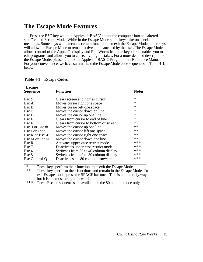## <span id="page-20-0"></span>**The Escape Mode Features**

Press the ESC key while in Applesoft BASIC to put the computer into an "altered state" called Escape Mode. While in the Escape Mode some keys take on special meanings. Some keys will execute a certain function then exit the Escape Mode; other keys will allow the Escape Mode to remain active until canceled by the user. The Escape Mode allows control of the Apple //e display and RamWorks from the keyboard, enables you to edit programs, and allows you to correct typing mistakes. For a more detailed description of the Escape Mode, please refer to the Applesoft BASIC Programmers Reference Manual. For your convenience, we have summarized the Escape Mode code sequences in Table 4-1, below.

| <b>Escape</b>            |                                        |              |
|--------------------------|----------------------------------------|--------------|
| <b>Sequence</b>          | <b>Function</b>                        | <b>Notes</b> |
|                          |                                        |              |
| Esc $\omega$             | Clears screen and homes cursor         | $\ast$       |
| Esc A                    | Moves cursor right one space           | $\ast$       |
| Esc B                    | Moves cursor left one space            | $\ast$       |
| Esc C                    | Moves the cursor down on line          | $\ast$       |
| Esc D                    | Moves the cursor up one line           | ∗            |
| Esc E                    | Clears from cursor to end of line      | $\ast$       |
| Esc F                    | Clears from cursor to bottom of screen | $\ast$       |
| Esc I or Esc             | Moves the cursor up one line           | **           |
| Esc J or Esc"            | Moves the cursor left one space        | **           |
| Esc K or Esc Æ           | Moves the cursor right one space       | $**$         |
| Esc M or Esc $\emptyset$ | Moves the cursor down one line         | $**$         |
| Esc R                    | Activates upper-case restrict mode     | ***          |
| Esc T                    | Deactivates upper-case restrict mode   | ***          |
| Esc <sub>4</sub>         | Switches from 80 to 40 column display  | ***          |
| Esc 8                    | Switches from 40 to 80 column display  | ***          |
| Esc Control-Q            | Deactivates the 80 column firmware     | ***          |

#### **Table 4-1 Escape Codes**

\* These keys perform their function, then exit the Escape Mode.<br>\*\* These keys perform their functions and remain in the Escape N

**\*\*** These keys perform their functions and remain in the Escape Mode. To exit Escape mode, press the SPACE bar once. This is not the only way but it is the most straight forward.

**\*\*\*** These Escape sequences are available in the 80 column mode only.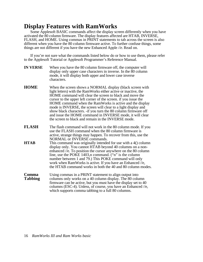## <span id="page-21-0"></span>**Display Features with RamWorks**

Some Applesoft BASIC commands affect the display screen differently when you have activated the 80 column firmware. The display features affected are HTAB, INVERSE, FLASH, and HOME. Using commas in PRINT statements to tab across the screen is also different when you have the 80 column firmware active. To further confuse things, some things are not different if you have the new Enhanced Apple *//e.* Read on.

If you're not sure what the commands listed below do or how to use them, please refer to the Applesoft Tutorial or Applesoft Programmer's Reference Manual.

| <b>IN VERSE</b>  | When you have the 80 column firmware off, the computer will<br>display only upper case characters in inverse. In the 80 column<br>mode, it will display both upper and lower case inverse<br>characters.                                                                                                                                                                                                                                                                                                                                                                       |
|------------------|--------------------------------------------------------------------------------------------------------------------------------------------------------------------------------------------------------------------------------------------------------------------------------------------------------------------------------------------------------------------------------------------------------------------------------------------------------------------------------------------------------------------------------------------------------------------------------|
| <b>HOME</b>      | When the screen shows a NORMAL display (black screen with<br>light letters) with the RamWorks either active or inactive, the<br>HOME command will clear the screen to black and move the<br>cursor to the upper left corner of the screen. if you issue the<br>HOME command when the RamWorks is active and the display<br>mode is INVERSE, the screen will clear to a light display and<br>show black characters. -if you turn the 80 column firmware off<br>and issue the HOME command in INVERSE mode, it will clear<br>the screen to black and remain in the INVERSE mode. |
| <b>FLASH</b>     | The flash command will not work in the 80 column mode. If you<br>use the FLASH command when the 80 column firmware is<br>active, strange things may happen. To recover from this, use the<br><b>NORMAL or INVERSE commands.</b>                                                                                                                                                                                                                                                                                                                                                |
| HTAB             | This command was originally intended for use with a 4() column<br>display only. You cannot HTAB beyond 40 columns on a non-<br>enhanced //e. To position the cursor anywhere on the 80 column<br>line, use the POKE 1403, n command. ("n" is the column<br>number between 1 and 79.) This POKE command will only<br>work when RamWorks is active. If you have an Enhanced //e,<br>the HTAB command works in both the 40 and 80 column modes.                                                                                                                                   |
| Comma<br>Tabbing | Using commas in a PRINT statement to align output into<br>columns only works on a 40 column display. The 80 column<br>firmware can be active, but you must have the display set to 40<br>columns (ESC-4). Unless, of course, you have an Enhanced //e,<br>which supports comma tabbing to a full 80 columns.                                                                                                                                                                                                                                                                   |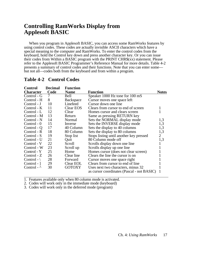## <span id="page-22-0"></span>**Controlling RamWorks Display from Applesoft BASIC**

When you program in Applesoft BASIC, you can access some RamWorks features by using control codes. These codes are actually invisible ASCII characters which have a special meaning to the computer and RamWorks. To enter the control codes from the keyboard, hold the Control key down and press another character key. Or you can issue their codes from Within a BASIC program with the PRINT CHR\$(xx) statement. Please refer to the Applesoft BASIC Programmer's Reference Manual for more details. Table 4-2 presents a summary of control codes and their functions. Note that you can enter some but not all—codes both from the keyboard and from within a program.

| Control               | <b>Decimal</b> | <b>Function</b> |                                            |                |
|-----------------------|----------------|-----------------|--------------------------------------------|----------------|
| Character             | Code           | <b>Name</b>     | <b>Function</b>                            | <b>Notes</b>   |
| Control - G           | 7              | Bell            | Speaker 1000 Hz tone for 100 mS            |                |
| Control - H           | 8              | Backspace       | Cursor moves one space left                |                |
| Control - J           | 10             | Linefeed        | Cursor down one line                       |                |
| Control - K           | 11             | Clear EOS       | Clears from cursor to end of screen        |                |
| Control - L           | 12             | Clear           | Homes cursor and clears screen             |                |
| Control - M           | 13             | Return          | Same as pressing RETURN key                |                |
| Control - N           | 14             | Normal          | Sets the NORMAL display mode               | 1,3            |
| Control $-0$          | 15             | Inverse         | Sets the INVERSE display mode              | 1,3            |
| Control - Q           | 17             | 40 Column       | Sets the display to 40 columns             | 1,3            |
| Control - R           | 18             | 80 Column       | Sets the display to 80 columns             | 1,3            |
| Control - S           | 19             | Stop list       | Stops listing until another key pressed    | $\overline{2}$ |
| Control - U           | 21             | Quit            | 80 Column mode off                         | 1,3            |
| Control - V           | 22             | Scroll          | Scrolls display down one line              |                |
| Control - W           | 23             | Scroll up       | Scrolls display up one line                |                |
| Control - Y           | 25             | Home            | Homes cursor (does not clear screen)       |                |
| $Control - Z$         | 26             | Clear line      | Clears the line the cursor is on           |                |
| Control - $\setminus$ | 28             | Forward         | Cursor moves one space right               |                |
| Control - 1           | 29             | Clear EOL       | Clears from cursor to end of line          |                |
| Control - $\wedge$    | 30             | <b>GOTOXY</b>   | Uses next two characters, minus 32         |                |
|                       |                |                 | as cursor coordinates (Pascal - not BASIC) |                |

## **Table 4-2 Control Codes**

1. Features available only when 80 column mode is activated.

2. Codes will work only in the immediate mode (keyboard)

3. Codes will work only in the deferred mode (program)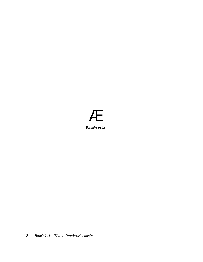## Æ **RamWorks**

18 *RamWorks III and RamWorks basic*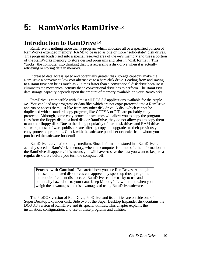## <span id="page-24-0"></span>**5: RamWorks RamDrive**™

## **Introduction to RamDrive**™

RamDrive is nothing more than a program which allocates all or a specified portion of RamWorks extended memory (RAM) to be used as one or more "solid-state" disk drives. This program loads itself into a special reserved area of the //e's memory and uses a portion of the RamWorks memory to store desired programs and files in "disk format". This "tricks" the computer into thinking that it is accessing a disk drive when it is actually retrieving or storing data in memory.

Increased data access speed and potentially greater disk storage capacity make the RamDrive a convenient, low cost alternative to a hard-disk drive. Loading from and saving to a RamDrive can be as much as 20 times faster than a conventional disk drive because it eliminates the mechanical activity that a conventional drive has to perform. The RamDrive data storage capacity depends upon the amount of memory available on your RamWorks.

RamDrive is compatible with almost all DOS 3.3 applications available for the Apple //e. You can load any programs or data files which are not copy-protected into a RamDrive and run or access them just like from any other disk drive. A disk which cannot be duplicated with a standard copy program, like COPYA or FID, are probably copy protected. Although, some copy-protection schemes will allow you to copy the program files from the floppy disk to a hard disk or RamDrive, they do not allow you to copy them to another floppy disk. Due to the rising popularity of hard disk drives and RAM drive software, most software publishers are offering copyable upgrades to their previously copy-protected programs. Check with the software publisher or dealer from whom you purchased the software for details.

RamDrive is a volatile storage medium. Since information stored in a RamDrive is actually stored in RamWorks memory, when the computer is turned off, the information in the RamDrive disappears. This means you will have **to** save the data you want to keep to a regular disk drive before you turn the computer off.

**Proceed with Caution!** Be careful how you use RamDrives. Although the use of emulated disk drives can appreciably speed up those programs that require frequent disk access, RamDrives can be tricky to use and potentially hazardous to your data. Keep Murphy's Law in mind when you weigh the advantages and disadvantages of using RamDrive software.

The ProDOS version of RamDrive, ProDrive, and its utilities are on side one of the Super Desktop Expander disk. Side two of the Super Desktop Expander disk contains the DOS 3.3 version of RamDrive and its special utilities. This chapter explains the installation, configuration, and use of these programs and utilities.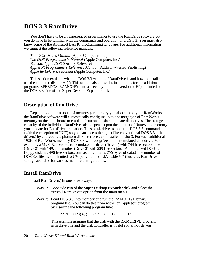## <span id="page-25-0"></span>**DOS 3.3 RamDrive**

You don't have to be an experienced programmer to use the RamDrive software but you do have to be familiar with the commands and operation of DOS 3.3. You must also know some of the Applesoft BASIC programming language. For additional information we suggest the following reference manuals:

*The DOS User's Manual* (Apple Computer, Inc.) *The DOS Programmer's Manual* (Apple Computer, Inc.) *Beneath Apple DOS* (Quality Software) *Applesoft Programmers Reference Manual* (Addison-Wesley Publishing) *Apple lie Reference Manual* (Apple Computer, Inc.)

This section explains what the DOS 3.3 version of RamDrive is and how to install and use the emulated disk drive(s). This section also provides instructions for the additional programs, SPEEDOS, RAMCOPY, and a specially modified version of Eli), included on the DOS 3.3 side of the Super Desktop Expander disk.

#### **Description of RamDrive**

Depending on the amount of memory (or memory you allocate) on your RamWorks, the RamDrive software will automatically configure up to one megabyte of RamWorks memory on the main board to emulate from one to six solid-state disk drives. The storage capacity of the individual RamDrives also depends upon the amount of RamWorks memory you allocate for RamDrive emulation. These disk drives support all DOS 3.3 commands (with the exception of INIT) so you can access them just like conventional DOS 3.3 disk drive(s) by addressing a phantom disk interface card installed in slot 3. For each additional 192K of RamWorks memory DOS 3.3 will recognize another emulated disk drive. For example, a 512K RamWorks can emulate one drive (Drive 1) with 744 free sectors, one (Drive 2) with 749, and another (Drive 3) with 239 free sectors. (An initialized DOS 3.3 floppy disk has 496 free sectors; one sector contains *256* bytes of data.) The number of DOS 3.3 files is still limited to *105* per volume (disk). Table *5-1* illustrates RamDrive storage available for various memory configurations.

## **Install RamDrive**

Install RamDrive(s) in one of two ways:

- Way 1: Boot side two of the Super Desktop Expander disk and select the "Install RamDrive" option from the main menu.
- Way 2: Load DOS 3.3 into memory and run the RAMDRIVE binary program file. You can do this from within an Applesoft program by inserting the following program line:

PRINT CHR\$(4); "BRUN RAMDRIVE, S6, D1"

This example assumes that the disk with the RAMDRIVE program is in drive one and the disk controller is in slot six, although you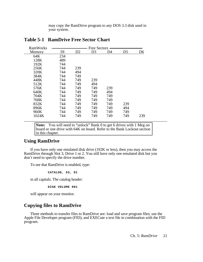may copy the RamDrive program to any DOS 3.3 disk used in your system.

| <b>RamWorks</b> |     |     | <b>Free Sectors</b> |     |                |     |
|-----------------|-----|-----|---------------------|-----|----------------|-----|
| Memory          | Dl  | D2  | D <sub>3</sub>      | D4  | D <sub>5</sub> | D6  |
| 64K             | 234 |     |                     |     |                |     |
| 128K            | 489 |     |                     |     |                |     |
| 192K            | 744 |     |                     |     |                |     |
| 256K            | 744 | 239 |                     |     |                |     |
| 320K            | 744 | 494 |                     |     |                |     |
| 384K            | 744 | 749 |                     |     |                |     |
| 448K            | 744 | 749 | 239                 |     |                |     |
| 512K            | 744 | 749 | 494                 |     |                |     |
| 576K            | 744 | 749 | 749                 | 239 |                |     |
| 640K            | 744 | 749 | 749                 | 494 |                |     |
| 704K            | 744 | 749 | 749                 | 749 |                |     |
| 768K            | 744 | 749 | 749                 | 749 |                |     |
| 832K            | 744 | 749 | 749                 | 749 | 239            |     |
| 896K            | 744 | 749 | 749                 | 749 | 494            |     |
| 960K            | 744 | 749 | 749                 | 749 | 749            |     |
| 1024K           | 744 | 749 | 749                 | 749 | 749            | 239 |
|                 |     |     |                     |     |                |     |

## **Table 5-1 RamDrive Free Sector Chart**

**Note:** You will need to "unlock" Bank 0 to get 6 drives with 1 Meg on board or one drive with 64K on board. Refer to the Bank Lockout section in this chapter.

## **Using RamDrive**

If you have only one emulated disk drive (192K or less), then you may access the RamDrive through Slot 3, Drive 1 or 2. You still have only one emulated disk but you don't need to specify the drive number.

To see that RamDrive is enabled, type:

**CATALOG, S3, Dl**

in all capitals. The catalog header:

**DISK VOLUME 001**

will appear on your monitor.

## **Copying files to RamDrive**

Three methods to transfer files to RamDrive are: load and save program files; use the Apple File Developer program (FID); and EXECute a text file in combination with the FID program.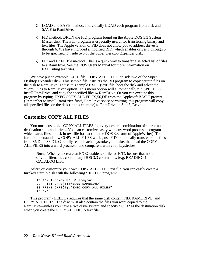LOAD and SAVE method: Individually LOAD each program from disk and SAVE to RamDrive.

FID method: BRUN the FID program found on the Apple DOS 3.3 System Master disk. The FIT) program is especially useful for transferring binary and text files. The Apple version of FID does not allow you to address drives 3 through 6. We have included a modified RID, which enables drives 1 through 6 to be specified, on side two of the Super Desktop Expander disk.

FID and EXEC file method: This is a quick way to transfer a selected list of files to a RamDrive. See the DOS Users Manual for more information on EXECuting text files.

We have put an example EXEC file, COPY ALL FILES, on side two of the Super Desktop Expander disk. This sample file instructs the RD program to copy certain files on the disk to RamDrive. To use this sample EXEC (text) file, boot the disk and select the "Copy Files to RamDrive" option. This menu option will automatically run SPEEDOS, install RamDrive, and copy the specified files to RamDrive. Or you can execute this program by typing 'EXEC COPY ALL FILES,56,Dl' from the Applesoft BASIC prompt. (Remember to install RamDrive first!) RamDrive space permitting, this program will copy all specified files on the disk (in this example) to RamDrive in Slot 3, Drive 1.

## **Customize COPY ALL FILES**

You must customize COPY ALL FILES for every desired combination of source and destination slots and drives. You can customize easily with any word processor program which saves files to disk in text file format (like the DOS 3.3 form of AppleWriter). To further understand how COPY ALL FILES works, use FID to manually transfer some files from S6,Dl to S3,D1. Carefully record each keystroke you make, then load the COPY ALL FILES into a word processor and compare it with your keystrokes.

**Note:** When you create an EXECutable text file for FIT), be sure that none of your filenames contain any DOS 3.3 commands. (e.g. READING.1; CATALOG LIST)

After you customize your own COPY ALL FILES text file, you can easily create a turnkey startup disk with the following 'HELLO' program:

**10 REX Turnkey HELLO program 20 PRINT CHR\$(4);"BRUN RAMDRIVE" 30 PRINT CHR\$(4);"EXEC COPY ALL FILES" 40 END**

This program (HELLO) requires that the same disk contain FID, RAMDRIVE, and COPY ALL FILES. The disk must also contain the files you want copied to the RamDrive—unless you have a two-drive system and specify S6, D2 as the destination disk when you create the COPY ALL FILES text file.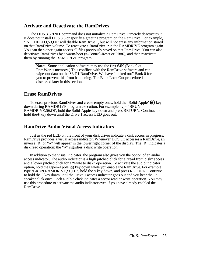### **Activate and Deactivate the RamDrives**

The DOS 3.3 'INIT command does not initialize a RamDrive, *it* merely deactivates it. It does not install DOS 3.3 or specify a greeting program on the RamDrive. For example, 'INIT HELLO,S3,D1' will disable RamDrive 1, but will not erase any information stored on that RamDrive volume. To reactivate a RamDrive, run the RAMDRIVE program again. You can then once again access all files previously saved on that RamDrive. You can also deactivate RamDrives by a warm-boot ( -Control-Reset or PR#6), and then reactivate them by running the RAMDRIVE program.

**Note:** Some application software may use the first 64K (Bank 0 ot RamWorks memory.) This conflicts with the RamDrive software and can wipe-out data on the S3,D1 RamDrive. We have "locked out" Bank 0 for you to prevent this from happening. The Bank Lock Out procedure is discussed later in this section.

## **Erase RamDrives**

To erase previous RamDrives and create empty ones, hold the 'Solid-Apple'  $(\triangle)$  key down during RAMDR1VE program execution. For example, type 'BRUN RAMDRIVE,S6,Dl', hold the Solid-Apple key down and press RETURN. Continue to hold the key down until the Drive 1 access LED goes out.

## **RamDrive Audio-Visual Access Indicators**

Just as the red LED on the front of your disk drives indicate a disk access in progress, RamDrive provides a visual access indicator. Whenever DOS 3.3 accesses a RamDrive, an inverse 'R' or 'W' will appear in the lower right corner of the display. The 'R' indicates a disk read operation; the  $\tilde{W}$  signifies a disk write operation.

In addition to the visual indicator, the program also gives you the option of an audio access indicator. The audio indicator is a high pitched click for a "read from disk" access and a lower pitched click for a "write to disk" operation. To activate the audio indicator option, hold the Open-Apple  $(\triangle)$  key down while you enable the RamDrive. For example, type 'BRUN RAMDRIVE,  $S6$ ,  $D1$ ', hold the  $\triangle$  key down, and press RETURN. Continue to hold the 0 key down until the Drive 1 access indicator goes out and you hear the //e speaker click once. Each audible click indicates a sector read or write operation. You may use this procedure to activate the audio indicator even if you have already enabled the RamDrive.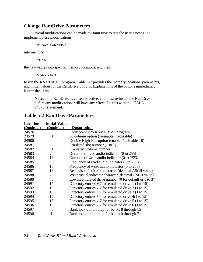## **Change RamDrive Parameters**

Several modifications can be made to RamDrive to suit the user's needs. To implement these modifications:

#### **BLOAD RANDRIVE**

into memory,

**POKE**

the new values into specific memory locations, and then:

#### **CALL 24576**

to run the RAMDRIVE program. Table *5-2* provides the memory locations, parameters, and initial values for the RamDrive options. Explanations of the options immediately follow the table.

**Note:** If a RamDrive is currently active, you must re-install the RamDrve before any modifications will have any effect. Do this with the 'CALL 24576' statement.

## **Table 5-2 RamDrive Parameters**

| Location  | <b>Initial Value</b> |                                                           |
|-----------|----------------------|-----------------------------------------------------------|
| (Decimal) | (Decimal)            | <b>Description</b>                                        |
| 24576     |                      | Entiy point into RAMDRIVE program                         |
| 24579     | 1                    | 80 column option (1=enable; 0=disable)                    |
| 24580     | $\boldsymbol{0}$     | Double High-Res option (enable=1; disable =0)             |
| 24581     | 3                    | Emulated slot number (1 to 7)                             |
| 24582     | 1                    | <b>Emulated Volume number</b>                             |
| 24583     | 24                   | Duration of read audio indicator $(0 \text{ to } 255)$    |
| 24584     | 18                   | Duration of write audio indicator $(0 \text{ to } 255)$   |
| 24585     | 6                    | Frequency of read audio indicator $(0 \text{ to } 255)$   |
| 24586     | 18                   | Frequency of write audio indicator $(0 \text{ to } 255)$  |
| 24587     | 18                   | Read visual indicator character (decimal ASCII value)     |
| 24588     | 23                   | Write visual indicator character (decimal ASCII value)    |
| 24589     | $\overline{0}$       | Lowest emulated drive number $(0$ for default or 1 to 3)  |
| 24591     | 15                   | Directory entries $\div$ 7 for emulated drive 1 (1 to 15) |
| 24592     | 15                   | Directory entries $\div$ 7 for emulated drive 2 (1 to 15) |
| 24593     | 15                   | Directory entries $\div$ 7 for emulated drive 3 (1 to 15) |
| 24594     | 15                   | Directory entries $\div$ 7 for emulated drive 4(1 to 15)  |
| 24595     | 15                   | Directory entries $\div$ 7 for emulated drive 5 (1 to 15) |
| 24596     | 15                   | Directory entries $\div$ 7 for emulated drive 6 (1 to 15) |
| 24597     | $\boldsymbol{0}$     | Bank lock out bit map for banks 8 through 15              |
| 24598     |                      | Bank lock out bit map for banks 0 through 7               |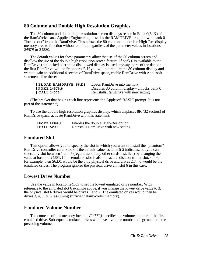### **80 Column and Double High Resolution Graphics**

The 80 column and double high resolution screen displays reside in Bank 0(64K) of the RamWorks card. Applied Engineering provides the RAMDRIVE program with bank 0 "locked out" from the RamDrive. This allows the 80 column and double High-Res display memory area to function without conflict, regardless of the parameter values in locations *24579* or 24580.

The default values for these parameters allow the use of the 80 column screen and disallow the use of the double high resolution screen feature. If bank 0 is available to the RamDrive (not locked out) and a disallowed display is used anyway, parts of the data on the first RamDrive will be "clobbered". If you will not require the 80 column display and want to gain an additional 4 sectors of RamDrive space, enable RamDrive with Applesoft statements like these:

| <b>BLOAD RAMDRIVE, S6,D1</b> | Loads RamDrive into memory                 |
|------------------------------|--------------------------------------------|
| <b>POKE 24579,0</b>          | Disables 80 column display--unlocks bank 0 |
| 1 CALL 24576                 | Reinstalls RamDrive with new setting       |

(The bracket that begins each line represents the Applesoft BASIC prompt. It is not part of the statement!)

To use the double high resolution graphics display, which displaces 8K (32 sectors) of RamDrive space, activate RamDrive with this statement:

| I POKE 24580,1 | Enables the double High-Res option   |
|----------------|--------------------------------------|
| I CALL 24576   | Reinstalls RamDrive with new setting |

#### **Emulated Slot**

This option allows you to specify the slot in which you want to install the "phantom" RamDrive controller card. Slot  $\overline{3}$  is the default value, as table 5-2 indicates, but you can select any slot between 1 and 7 (regardless of any other cards installed) by changing the value at location 24581. If the emulated slot is also the actual disk controller slot, slot 6, for example, then S6,D1 would be the only physical drive and drives 2,3,...6 would be the emulated drives. The program ignores the physical drive 2 in slot 6 in this case.

## **Lowest Drive Number**

Use the value in location *24589* to set the lowest emulated drive number. With reference to the emulated slot 6 example above, if you change the lowest drive value to 3, the physical slot 6 drives would be drives 1 and 2. The emulated drives would then be drives 3, 4, *5,* & 6 (assuming sufficient RamWorks memory).

## **Emulated Volume Number**

The contents of this memory location *(24582)* specifies the volume number of the first emulated drive. Subsequent emulated drives will have a volume number one greater than the preceding volume.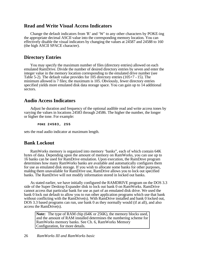### **Read and Write Visual Access Indicators**

Change the default indicators from 'R' and 'W' to any other characters by POKE-ing the appropriate decimal ASCII value into the corresponding memory location. You can effectively disable the visual indicators by changing the values at 24587 and 24588 to 160 (the high ASCII SPACE character).

#### **Directory Entries**

You may specify the maximum number of files (directory entries) allowed on each emulated RamDrive. Divide the number of desired directory entries by seven and enter the integer value in the memory location corresponding to the emulated drive number (see Table 5-2). The default value provides for 105 directory entries (105+7 <sup>=</sup>15). The minimum allowed is 7 files; the maximum is 105. Obviously, fewer directory entries specified yields more emulated disk data storage space. You can gain up to 14 additional sectors.

### **Audio Access Indicators**

Adjust he duration and frequency of the optional audible read and write access tones by varying the values in locations 24583 through 24586. The higher the number, the longer or higher the tone. For example:

**POKE 24583, 255**

sets the read audio indicator at maximum length.

#### **Bank Lockout**

RamWorks memory is organized into memory 'banks", each of which contain 64K bytes of data. Depending upon the amount of memory on RamWorks, you can use up to 16 banks can be used for RamDrive emulation. Upon execution, the RamDnve program determines how many RamWorks banks are available and automatically configures them for use as emulated disk storage. If you wish to allocate some banks for other purposes, maldng them unavailable for RamDrive use, RamDrive allows you to lock out specified banks. The RamDrive will not modify information stored in locked out banks.

As stated earlier, we have initially configured the RAMDRIVE program on the DOS 3.3 side of the Super Desktop Expander disk to lock out bank 0 on RamWorks. RamDrive cannot access that particular bank for use as part of an emulated disk drive. We used the bank 0 lock out default to allow you to run other application programs which use that bank without conflicting with the RamDrive(s). With RamDrive installed and bank 0 locked out, DOS 3.3 based programs can run, use bank 0 as they normally would (if at all), and also access the RamDrive(s).

**Note:** The type of RAM chip (64K or 256K), the memory blocks used, and the amount of RAM installed determines the numbering scheme for RamWorks memory banks. See Ch. 6, RamWorks Memory Configuration, for more details.

#### 26 *RamWorks III and RamWorks basic*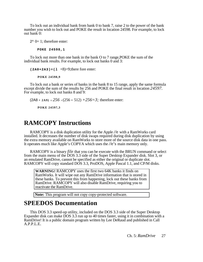<span id="page-32-0"></span>To lock out an individual bank from bank 0 to bank 7, raise 2 to the power of the bank number you wish to lock out and POKE the result in location 24598. For example, to lock out bank 0:

 $2^{\wedge} 0=1$ ; therefore enter:

**POKE 24598,1**

To lock out more than one bank in the bank O to 7 range,POKE the sum of the individual bank results. For example, to lock out banks 0 and 3:

 $(2A0+2A3) = (1 +8)=9;$ there fore enter:

**POKE 24598,9**

To lock out a bank or series of banks in the bank 8 to 15 range, apply the same formula except divide the sum of the results by 256 and POKE the final result in location *24597.*  For example, to lock out banks 8 and 9:

```
(2A8 + 2A9) + 256 = (256 + 512) + 256 = 3; therefore enter:
```
**POKE 24597,3**

## **RAMCOPY Instructions**

RAMCOPY is a disk duplication utility for the Apple *//*e with a RamWorks card installed. It decreases the number of disk swaps required during disk duplication by using the extra memory available on RamWorks to store more of the source disk data in one pass. It operates much like Apple's COPYA which uses the *//*e's main memory only.

RAMCOPY is a binary *file* that you can be execute with the BRUN command or select from the main menu of the DOS 3.3 side of the Super Desktop Expander disk. Slot 3, or an emulated RamDrive, cannot be specified as either the original or duplicate slot. RAMCOPY will copy standard DOS 3.3, ProDOS, Apple Pascal 1.1, and CP/M disks.

**WARNING!** RAMCOPY uses the first two 64K banks it finds on RamWorks. It will wipe out any RamDrive information that is stored in these banks. To prevent this from happening, lock out these banks from RamDrive. RAMCOPY will also disable RamDrive, requiring you to reactivate the RamDrive.

**Note:** This program will not copy copy-protected software.

## **SPEEDOS Documentation**

This DOS 3.3 speed-up utility, included on the DOS 3.3 side of the Super Desktop Expander disk can make DOS 3.3 run up to 40 times faster, using it in combination with a RamDrive! It is a public domain program written by Lee DeRaud and published in Call A.P.P.L.E.

Ch. 5: *RamDrive* 27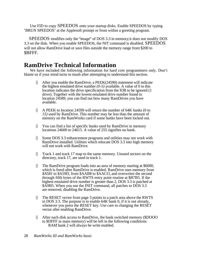<span id="page-33-0"></span>Use FID to copy SPEEDOS onto your startup disks. Enable SPEEDOS by typing 'BRUN SPEEDOS' at the Applesoft prompt or from within a greeting program.

SPEEDOS modifies only the "image" of DOS 3.3 in memory; it does not modify DOS 3.3 on the disk. When you enable SPEEDOS, the NIT command is disabled. SPEEDOS will not allow RamDrive load or save files outside the memory range from \$200 to \$BFFF.

## **RamDrive Technical Information**

We have included the following information for hard core programmers only. Don't blame us if your mind turns to mush after attempting to understand this section.

> After you enable the RamDrive, a PEEK(24590) statement will indicate the highest emulated drive number *(0-5)* available. A value of 0 in this location indicates the drive specification from the lOB to be ignored (1 drive). Together with the lowest emulated drive number found in location 24589, you can find out how many RamDrives you have available.

A PEEK to location 24599 will return the number of 64K banks (0 to *15)* used by RamDrive. This number may be less than the amount of memory on the RamWorks card if some banks have been locked out.

You can find a list of specific banks used by RamDrive in memory locations 24600 to 24615. A value of 255 signifies no bank.

Some DOS 3.3 enhancement programs and utilities may not work with RamDrive installed. Utilities which relocate DOS 3.3 into high memory will not work with RamDrive.

Track 1 and track 17 map to the same memory. Unused sectors on the directory, track 17, are used in track 1.

The RamDrive program loads into an area of memory starting at \$6000, which is freed after RamDrive is enabled. RamDrive uses memory from *\$A581* to \$A59D, from \$AAB8 to \$AACO, and overwrites the second through fifth bytes of the RWTS entry point routine at \$B7B5. If the highest emulated drive number is greater than 2, DOS 3.3 is patched at \$A9B5. When you use the INIT command, all patches to DOS 3.3 are removed, disabling the RamDrive.

The RESET vector from page 3 points to a patch area above the RWTS in DOS 3.3. The purpose is to enable 64K bank 0, if it is not already, whenever you press the RESET key. Use care in changing the RESET vector after enabling RamDrive.

After each disk access to RamDrive, the bank switched memory (\$DOOO to \$DFFF in main memory) will be left in the following conditions: RAM bank 2 will always be write enabled.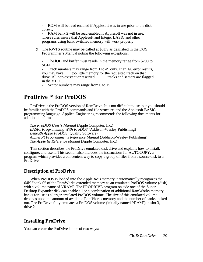<span id="page-34-0"></span>- ROM will be read enabled if Applesoft was in use prior to the disk access.

RAM bank 2 will be read enabled if Applesoft was not in use. These rules insure that Applesoft and Integer BASIC and other programs using bank switched memory will work properly.

The RWTS routine may be called at \$3D9 as described in the DOS Programmer's Manual noting the following exceptions:

The lOB and buffer must reside in the memory range from \$200 to \$BFFF.

Track numbers may range from 1 to 49 only. If an  $1/0$  error results, you may have too little memory for the requested track on that drive. All non-existent or reserved tracks and sectors are flagged in the VTOC.

Sector numbers may range from 0 to 15

## **ProDrive™ for ProDOS**

ProDrive is the ProDOS version of RamDrive. It is not difficult to use, but you should be familiar with the ProDOS commands and file structure, and the Applesoft BASIC programming language. Applied Engineering recommends the following documents for additional information:

*The ProDOS User's Manual* (Apple Computer, Inc.) *BASIC Programming With ProDOS* (Addison-Wesley Publishing) *Beneath Apple ProDOS* (Quality Software) *Applesoft Programmer's Reference Manual* (Addison-Wesley Publishing) *The Apple lie Reference Manual* (Apple Computer, Inc.)

This section describes the ProDrive emulated disk drive and explains how to install, configure, and use it. This section also includes the instructions for AUTOCOPY, a program which provides a convenient way to copy a group of files from a source disk to a ProDrive.

#### **Description of ProDrive**

When ProDOS is loaded into the Apple *II*e*'s* memory it automatically recognizes the 64K "bank 0" of the RamWorks extended memory as an emulated ProDOS volume (disk) with a volume name of VRAM'. The PRODRIVE program on side one of the Super Desktop Expander disk can enable all or a combination of additional RamWorks memory banks for use as a larger emulated ProDOS volume. The size of this emulated volume depends upon the amount of available RamWorks memory and the number of banks locked out. The ProDrive fully emulates a ProDOS volume (initially named '/RAM') in slot 3, drive 2.

## **Installing ProDrive**

You can create the ProDrive in one of two ways: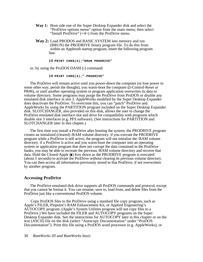- **Way 1:** Boot side one of the Super Desktop Expander disk and select the "ProDrive options menu" option from the main menu; then select "Install ProDrive"  $\langle \langle 4 \rangle$  from the ProDrive menu.
- **Way 2:** Load PRODOS and BASIC.SYSTEM into memory and run (BRUN) the PRODRIVE binary program file. To do this from within an Applesoft startup program, insert the following program line:

#### **10 PRINT CHR\$(4);"BRUN PRODRIVE"**

or, by using the ProDOS DASH (-) command:

#### **10 PRINT CHR\$(4);"-PRODRIVE"**

The ProDrive will remain active until you power-down the computer (or lose power in some other way, perish the thought), you warm-boot the computer  $(d$ -Control-Reset or PR#6), or until another operating system or program application overwrites its data or volume directory. Some programs may purge the ProDrive from ProDOS or disable any emulated disk interface in slot 3. AppleWorks modified by the Super Desktop Expander does deactivate the ProDrive. To overcome this, you can "patch" ProDrive and AppleWorks by using the PARTITION program included on the Super Desktop Expander disk. SLOTCHANGER, also provided on this disk, allows the user to change the ProDrive emulated disk interface slot and drive for compatibility with programs which disable slot 3 interfaces (e.g. PFS software). (See instructions for PARTITION and SLOTCHANGER later in this chapter.)

The first time you install a ProDrive after booting the system, the PRODRIVE program creates an initialized (cleared) /RAM volume directory. if you execute the PRODRIVE program while a ProDrive is still active, the program will not initialize the /RAM volume directory. if a ProDrive is active and you warm-boot the computer into an operating system or application program that does not corrupt the data contained in the ProDrive banks, you may be able to recreate the previous /RAM volume directory and recover that data. Hold the Closed-Apple  $(\bullet)$  Key down as the PRODRIVE program is executed (about *5* seconds) to activate the ProDrive without clearing its previous volume directory. You can then access all information previously stored in that ProDrive, if not overwritten by another program.

#### **Accessing ProDrive**

The ProDrive emulated disk drive supports all ProDOS commands and protocol, except that you cannot be format it. You can rename, save to, load from, and delete files from the ProDrive just like a conventional ProDOS volume.

Copy ProDOS files to the ProDrive using a standard file copy program, such as Apple's FILER, Pinpoint's RAM Enhancement Kit, or Applied Engineering's AUTOCOPY program. (Apple's System Utilities program will not copy files to a ProDrive.) We have included the FILER and AUTOCOPY programs on the Super Desktop Expander disk. See the instructions for AUTOCOPY later in this chapter or on the text (ASCII) file on the disk (select "Autocopy Documentation" under "ProDOS Documentation"). Print this file using a ProDOS word processor (e.g. AppleWorks), or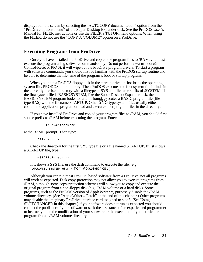display it on the screen by selecting the "AUTOCOPY documentation" option from the "ProDrive options menu" of the Super Desktop Expander disk. See the ProDOS User's Manual for FILER instructions or use the FILER's TUTOR menu options. When using the FILER, do not use the "COPY A VOLUME" option on a ProDrive.

## **Executing Programs from ProDrive**

Once you have installed the ProDrive and copied the program files to /RAM, you must execute the program using software commands only. Do not perform a warm-boot *( -* Control-Reset or PR#6); it will wipe out the ProDrive program drivers. To start a program with software commands, you should first be familiar with the ProDOS startup routine and be able to determine the filename of the program's boot or startup program.

When you boot a ProDOS floppy disk in the startup drive, it first loads the operating system file, PRODOS, into memory. Then ProDOS executes the first system file it finds in the currently prefixed directory with a filetype of SYS and filename suffix of .SYSTEM. If the first system file is BASIC.SYSTEM, like the Super Desktop Expander disk, the BASIC.SYSTEM program looks for and, if found, executes a BASIC program file (file type BAS) with the filename STARTUP. Other  $SYS$  type system files usually either contain the application program or load and execute other program files in the directory.

If you have installed ProDrive and copied your program files to /RAM, you should first set the prefix to /RAM before executing the program. Enter:

#### PREFIX /R&M<return>

at the BASIC prompt) Then type:

#### **CAT<return>**

Check the directory for the first SYS type file or a file named STARTUP. If list shows a STARTUP file, type:

#### **—STARTUP<return>**

if it shows a SYS file, use the dash command to execute the file. (e.g.  $-$ APLWORKS. SYSTEM<return> for AppleWorks.)

Although you can run most ProDOS based software from a ProDrive, not all programs will work as expected. Disk copy-protection may not allow you to execute programs from /RAM, although some copy-protection schemes will allow you to copy and execute the original program from a non-floppy disk (e.g. /RAM volume or a hard disk). Some programs, such as the ProDOS version of AppleWriter *//,* purposely disable the /RAM volume directory. (See "AppleWriter *II* Patch" at the end of this chapter.) Other programs may disable the imaginary ProDrive interface card assigned to slot 3. (See Using SLOTCHANGER in this chapter.) if your software does not run as expected you should contact the publisher of your software or seek the assistance of an experienced programmer to instruct you on the modification of your software or the execution of your particular program from a /RAM volume directory.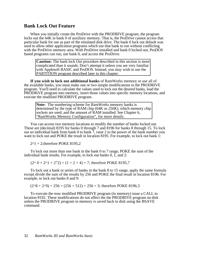### **Bank Lock Out Feature**

When you initially create the ProDrive with the PRODRIVE program, the program locks out the 64K in bank 0 of auxiliary memory. That is, the ProDrive cannot access that particular bank for use as part of the emulated disk drive. The bank 0 lock out default was used to allow other application programs which use that bank to run without conflicting with the ProDrive memory area. With ProDrive installed and bank 0 locked out, ProDOS based programs can run, use bank 0, and access the ProDrive.

**Caution:** The bank lock Out procedure described in this section is more complicated than it sounds. Don't attempt it unless you are very familiar with Applesoft BASIC and ProDOS. Instead, you may wish to use the PARTITION program described later in this chapter.

**If you wish to lock out additional banks** of RamWorks memory or use all of the available banks, you must make one or two simple modifications to the PRODRIVE program. You'll need to calculate the values used to lock out the desired banks, load the PRODRiVE program into memory, insert those values into specific memory locations, and execute the modified PRODRIVE program.

**Note:** The numbering scheme for RamWorks memory banks is determined by the type of RAM chip (64K or *256K),* which memory chip sockets are used, and the amount of RAM installed. See Chapter 6, "RamWorks Memory Configuration", for more details.

You can access two memory locations to modify the number of banks locked out. These are (decimal) 8195 for banks 0 through 7 and 8196 for banks 8 through 15. To lock out an individual bank from bank 0 to bank 7, raise 2 to the power of the bank number you want to lock out and POKE the result in location 8195. For example, to lock out bank 1:

 $2^{\wedge}1 = 2$ ; therefore POKE 8195,2

To lock out more than one bank in the bank 0 to 7 range, POKE the sum of the individual bank results. For example, to lock out banks 0, 1, and 2:

 $(2^0 0 + 2^0 1 + 2^0 2) = (1 + 2 + 4) = 7$ ; therefore POKE 8195,7

To lock out a bank or series of banks in the bank 8 to 15 range, apply the same formula except divide the sum of the results by 256 and POKE the final result in location 8196. For example, to lock out banks 8 and 9:

 $(2^{8} + 2^{9}) + 256 = (256 + 512) + 256 = 3$ ; therefore POKE 8196,3

To execute the now modified PRODRIVE program (in memory) issue a CALL to location 8192. These modifications do not affect the the PRODRIVE program on disk unless the PRODRIVE program in memory is saved back to disk using the BSAVE command.

#### 32 *RamWorks III and RamWorks basic*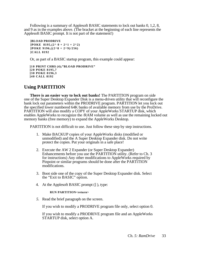Following is a summary of Applesoft BASIC statements to lock out banks 0, 1,2, 8, and 9 as in the examples above. (The bracket at the beginning of each line represents the Applesoft BASIC prompt. It is not part of the statement!)

```
]BLOAD PRODRIVE
IPOKE 8195.(2^0 0 + 2^1 1 + 2^2)]POKE 9196,((2^8 + 2^9)/256)
]CALL 8192
```
Or, as part of a BASIC startup program, this example could appear:

```
]10 PRINT CHR$ (4);"BLOAD PRODRIVE"
]20 POKE 8195,7
]30 POKE 8196,3
]40 CALL 8192
```
## **Using PARTITION**

**There is an easier way to lock out banks!** The PARTITION program on side one of the Super Desktop Expander Disk is a menu-driven utility that will reconfigure the bank lock out parameters within the PRODRIVE program. PARTITION let you lock out the specified lower numbered 64K banks of available memory from use by the ProDrive. PARTITION will also modify a COPY of your AppleWorks STARTUP disk, which enables AppleWorks to recognize the /RAM volume as well as use the remaining locked out memory banks (free memory) to expand the AppleWorks Desktop.

PARTITION is not difficult to use. Just follow these step by step instructions.

- 1. Make BACKUP copies of your AppleWorks disks (modified or unmodified) and the A Super Desktop Expander disk. Do not write protect the copies. Put your originals in a safe place!
- 2. Execute the AW 2 Expander (or Super Desktop Expander) Enhancements before you use the PARTITION utility. (Refer to Ch. 3 for instructions) Any other modifications to AppleWorks required by Pinpoint or similar programs should be done after the PARTiTION modifications.
- 3. Boot side one of the copy of the Super Desktop Expander disk. Select the "Exit to BASIC" option.
- 4. At the Applesoft BASIC prompt (] ), type:

#### **RUN PARTITION<return>**

*5.* Read the brief paragraph on the screen.

If you wish to modify a PRODRIVE program file only, select option 0.

If you wish to modify a PRODRIVE program file and an AppleWorks STARTUP disk, select option A.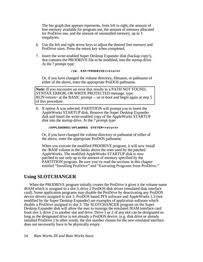The bar graph that appears represents, from left to right, the amount of free memory available for program use, the amount of memory allocated for ProDrive use, and the amount of uninstalled memory, up to 3 megabytes.

- 6. Use the left and right arrow keys to adjust the desired free memory and ProDrive sizes. Press the return key when completed.
- 7. Insert the write-enabled Super Desktop Expander disk (backup copy!), that contains the PRODRIVE file to be modified, into the startup drive. At the ? prompt type:

#### **/1W. EXP/PRODRIVE<return>**

Or, if you have changed the volume directory, filename, or pathname of either of the above, enter the appropriate ProDOS pathname.

**Note:** If you encounter an error that results in a PATH NOT FOUND, SYNTAX ERROR, OR WRITE PROTECTED message, type: RUN<return> at the BASIC prompt —or re-boot and begin again at step 5 of this procedure.

8. If option A was selected, PARTITION will prompt you to insert the AppleWorks STARTUP disk. Remove the Super Desktop Expander disk and insert the write-enabled copy of the AppleWorks STARTUP disk into the startup drive. At the ? prompt type:

#### **/APPLEWORKS/APLWORKS** . **SYSTEM<return>**

Or, if you have changed the volume directory or pathname of either of the above, enter the appropriate ProDOS pathname.

When you execute the modified PRODRIVE program, it will now install the /RAM volume in the banks above the ones used by the patched AppleWorks. The modified AppleWorks STARTUP disk is now patched to use only up to the amount of memory specified by the PARTITION program. Be sure you've read the sections in this chapter entitled "Installing ProDrive" and "Executing Programs from ProDrive."

#### **Using SLOTCHANGER**

When the PRODRIVE program initially creates the ProDrive it gives it the volume name tRAM which is assigned to a slot 3, drive 2 ProDOS disk driver (emulated disk interface card). Some application programs may disable the ProDrive by deactivating any ProDOS device drivers assigned to slot 3. ProDOS based PFS software and AppleWorks 1.3 (not modified by the Super Desktop Expander) are examples of application software which disable a ProDrive assigned to slot 3. The SLOTCHANGER program on the Super Desktop Expander disk will allow the user to reassign the emulated /RAM interface card from slot 3, drive 2 to another slot and drive. Drive 1 or 2 of any slot can be designated so long as the designated drive is not already a ProDOS device. (e.g. disk drive or already installed ProDrive.) In other words, the slot number chosen for the new emulated interface does not necessarily have to be physically empty.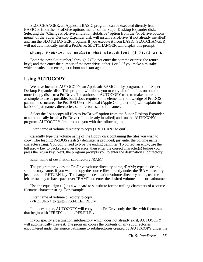SLOTCHANGER, an Applesoft BASIC program, can be executed directly from BASIC or from the "ProDrive options menu" of the Super Desktop Expander disk. Selecting the "Change ProDrive emulation slot,drive" option from the "ProDrive options menu" of the Super Desktop Expander disk will install a ProDrive (if not already installed) and run the SLOTCHANGER program. If you execute it from BASIC, SLOTCHANGER will not automatically install a ProDrive; SLOTCHANGER will display this prompt:

**Change ProDrive to emulate what slot,drive? (l-7),(l-2) S\_**

Enter the new slot number,l through 7 (Do not enter the comma or press the return key!) and then enter the number of the new drive, either 1 or 2. If you make a mistake which results in an error, just reboot and start again.

### **Using AUTOCOPY**

We have included AUTOCOPY, an Applesoft BASIC utility program, on the Super Desktop Expander disk. This program will allow you to copy all of the files on one or more floppy disks to a ProDrive. The authors of AUTOCOPY tried to make the program as simple to use as possible, but it does require some elementary knowledge of ProDOS pathname structure. The ProDOS User's Manual (Apple Computer, mc) will explain the basics of pathnames, directories, subdirectories, and filenames.

Select the "Autocopy all files to ProDrive" option from the Super Desktop Expander to automatically install a ProDrive (if not already installed) and run the AUTOCOPY program. AUTOCOPY first prompts you with the following line:

Enter name of volume directory to copy (<RETURN> to quit) /

Carefully type the volume name of the floppy disk containing the files you wish to copy. The leading ProDOS slash (/) delimiter is provided; just enter the volume name character string. You don't need to type the ending delimiter. To correct an entry, use the left arrow key to backspace over the error, then enter the correct character(s) before you press the return key. Next, the program prompts you to enter the destination subdirectory:

Enter name of destination subdirectory /RAM/

The program provides the ProDrive volume directory name, /RAM/; type the desired subdirectory name. If you want to copy the source files directly under the /RAM directory, just press the RETURN key. To change the destination volume directory name, use the left-arrow key to backspace over "RAM" and enter the desired volume name or pathname.

Use the equal sign  $(=)$  as a wildcard to substitute for the trailing characters of a source filename character string. For example:

Enter name of volume directory to copy (<RETURN> to quit)/PFS.FLLE/FRED=

In this example, AUTOCOPY will copy to the ProDrive only the files with filenames that begin with "FRED" on the /PFS.FILE volume.

If you specify a destination subdirectory which does not already exist, AUTOCOPY will automatically create it. The program copies the contents of any subdirectories encountered under the source pathname to subdirectories created by AUTOCOPY under the

Ch. *5: RamDrive 35*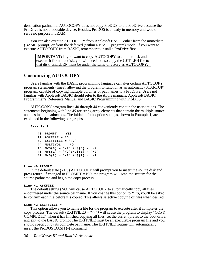destination pathname. AUTOCOPY does not copy ProDOS to the ProDrive because the ProDrive is not a bootable device. Besides, ProDOS is already in memory and would serve no purpose in /RAM.

You can also execute AUTOCOPY from Applesoft BASIC either from the immediate (BASIC prompt) or from the deferred (within a BASIC program) mode. If you want to execute AUTOCOPY from BASIC, remember to install a ProDrive first.

**IMPORTANT:** If you want to copy AUTOCOPY to another disk and execute it from that disk, you will need to also copy the GET.LEN file to that disk. GET.LEN must be under the same directory as AUTOCOPY.

## **Customizing AUTOCOPY**

Users familiar with the BASIC programming language can alter certain AUTOCOPY program statements (lines), allowing the program to function as an automatic (STARTUP) program, capable of copying multiple volumes or pathnames to a ProDrive. Users not familiar with Applesoft BASIC should refer to the Apple manuals, Applesoft BASIC Programmer's Reference Manual and BASIC Programming with ProDOS.

AUTOCOPY program lines 40 through 44 conveniently contain the user options. The statements beginning with line *45* are string array elements that contain the multiple source and destination pathnames. The initial default option settings, shown in Example 1, are explained in the following paragraphs.

**Example 1:**

```
40 PROMPT = YES
41 ASKFILE = NO
42 EXITFILE$ = "/?"
44 MULTIVOL = NO
45 MV$(0) = "/?":MU$(0) = "/?"
46 MV$(1) = "/?":MU$(1) = "/?"
47 Mv$(2) = "/?":MU$(2) = "/?"
```
**Line 40 PROMPT** =

In the default state (YES) AUTOCOPY will prompt you to insert the source disk and press return. If changed to PROMPT = NO, the program will scan the system for the source pathname and begin the copy process.

#### **Line 41 ASKFILE =**

The default setting (NO) will cause AUTOCOPY to automatically copy all files encountered under the source pathname. If you change this option to YES, you'll be asked to confirm each file before it's copied. This allows selective copying of files when desired.

#### **Line 42 EXITFILE\$ =**

This option allows you to name a file for the program to execute after it completes the copy process. The default (EXITFILE\$ = *"/?")* will cause the program to display "COPY COMPLETE" when it has finished copying all files, set the current prefix to the boot drive, and exit to the BASIC prompt The EXITFILE must be an executable program file and you should specify it by its complete pathname. The EXITFILE routine will automatically insert the ProDOS DASH (-) command.

36 *RamWorks III and Ram Works basic*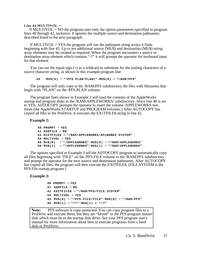#### **Line 44 MULTIVOL =**

If MULTIVOL  $=$  NO the program uses only the option parameters specified in program lines 40 through 42, inclusive. It ignores the multiple source and destination pathnames described listed in the next paragraph.

If MULTIVOL  $=$  YES the program will use the pathname string arrays it finds beginning with line 45. Up to ten additional source (MU\$) and destination (MU\$) string array elements may be created as required. When the program encounters a source or destination array element which contains "/?" it will prompt the operator for keyboard input for that element.

You can use the equal-sign (=) as a wildcard to substitute for the trailing characters of a source character string, as shown in this example program line:

**45 MV\$(O)** = **"/PFS.PLAN/PLAN=":MU\$(O)** = **"/RAM/PFS"**

The program will only copy to the /RAM/PFS subdirectory the files with filenames that begin with "PLAN" on the /PFS.PLAN volume.

The program lines shown in Example 2 will load the contents of the AppleWorks startup and program disks to the /RAM/APPLEWORKS/ subdirectory. Since line 40 is set to YES, AIJTOCOPY prompts the operator to insert the volume /APPLEWORKS two times (the AppleWorks STARTUP and PROGRAM volumes.) After AUTOCOPY has copied all files to the ProDrive, it executes the EX1TFILE\$ string in line 42.

**Example 2:**

```
40 PROMPT = YES
41 ASKFILE = NO
42 EXITFILE$ = "/RAM/APPLEWORKS/APLWORKS.SYSTEM"
44 MULTIVOL = YES
45 Mv$(0) = "/APPLEWORKS":MU$(O) = "/RAM/APPLEWORKS"
46 MV$(1) = "/APPLEWORKS":MU$(1) = "/R&M/APPLEWORKS"
```
The options specified in Example 3 tell the AIJTOCOPY program to automatically copy all files beginning with "FILE" on the /PFS.FILE volume to the /RAM/PFS subdirectory and prompt the operator for the next source and destination pathnames. After AUTOCOPY has copied all files, the program will then execute the EXITFILE\$. (FILE.SYSTEM is the PFS:File startup program.)

**Example 3:**

```
40 PROMPT = YES
41 ASKFILE = NO
42 EXITFILE$ = "/RAM/PFS/FILE.SYSTEM"
44 MULTIVOL = YES
45 MV$(0) = "/PFS.FILE/FILE":MU$(O) = "/R&M/PFS"
46 MV$(1) = "/?":MU$(1) = "/?"
```
**Note:** PFS software is copy-protected. You can copy program files to a ProDrive and execute them, but they are "keyed" to the PFS program master disk which must be in the startup disk drive. See your PFS program user's manual for more information about how to execute programs from a hard disk or ProDrive.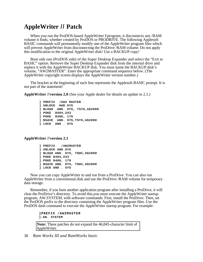## <span id="page-43-0"></span>**AppleWriter** *II* **Patch**

When you run the ProDOS-based AppleWriter I/program, it disconnects any /RAM volume it finds, whether created by ProDOS or PRODRIVE. The following Applesoft BASIC commands will permanently modify one of the AppleWriter program files which will prevent AppleWriter from disconnecting the ProDrive /RAM volume. Do not apply this modification to the original AppleWriter disk! Use a BACKUP copy!

Boot side one (ProDOS side) of the Super Desktop Expander and select the "Exit to BASIC" option. Remove the Super Desktop Expander disk from the internal drive and replace it with the AppleWriter BACKUP disk. You must name the BACKUP disk's volume, "AW2MASTER". Enter the appropriate command sequence below. (The AppleWriter copyright screen displays the AppleWriter version number.)

The bracket at the beginning of each line represents the Applesoft BASIC prompt. It is not part of the statement!

**AppleWriter //version 2.0** (See your Apple dealer for details on update to 2.1.)

```
] PREFIX /AW2 MASTER
] UNLOCK AWD.SYS
] BLOAD AND. SYS, TSYS,A$2000
] POKE 8484,243
] POKE 8486, 179
] BSAVE AND. SYS,TSYS,A$2000
] LOCK AND . SYS
```
**AppleWriter //version 2.1**

```
] PREFIX /AW2MASTER 
] UNLOCK AWD.SYS
] BLOAD AND. SYS, T$OC,A$2000 
] POKE 8484,243
] POKE 8486, 179
] BSAVE AND. SYS, T$OC,A$2000 
] LOCK AND . SYS
```
Now you can copy AppleWriter to and run from a ProDrive. You can also run AppleWriter from a conventional disk and use the ProDrive /RAM volume for temporary data storage.

Remember, if you boot another application program after installing a ProDrive, it will clear the ProDrive's directory. To avoid this,you must execute the AppleWriter startup program, AW.SYSTEM, with software commands. First, install the ProDrive. Then, set the ProDOS prefix to the directory containing the AppleWriter program files. Use the ProDOS dash command to execute the AppleWriter startup program. For example:

```
]PREFIX /AW2MASTER
]-AN. SYSTEM
```
**Note:** These patches do not expand the 46,845-character limit of AppleWriter.

38 *Ram Works III and RamWorks basic*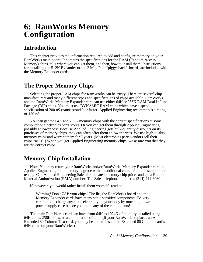## <span id="page-44-0"></span>**6: RamWorks Memory Configuration**

## **Introduction**

This chapter provides the information required to add and configure memory on your RamWorks main board. It contains the specifications for the RAM (Random Access Memory) chips, tells where you can get them, and then, how to install them. Instructions for installing the 512K Expander or the 2 Meg Plus "piggy-back" boards are included with the Memory Expander cards.

## **The Proper Memory Chips**

Selecting the proper RAM chips for RamWorks can be tricky. There are several chip manufacturers and many different types and specifications of chips available. RamWorks and the RamWorks Memory Expander card can use either 64K or 256K RAM Dual In-Line Package (DIP) chips. You must use DYNAMIC RAM chips which have a speed specification of 200 nS (nanoseconds) or faster. Applied Engineering recommends a rating of 150 nS.

You can get the 64K and 256K memory chips with the correct specifications at some computer or electronics parts stores. Or you can get them through Applied Engineering; possibly at lower cost. Because Applied Engineering gets bulk-quantity discounts on its purchases of memory chips, they can often offer them at lower prices. We use high-quality memory chips and warrant them for *5* years. (Most electronics parts vendors sell their chips "as is".) When you get Applied Engineering memory chips, we assure you that they are the correct chips.

## **Memory Chip Installation**

Note: You may return your RamWorks and/or RamWorks Memory Expander card to Applied Engineering for a memory upgrade with no additional charge for the installation or testing. Call Applied Engineering Sales for the latest memory chip prices and get a Return Material Authorization (RMA) number. The Sales telephone number is (214) 241-6060.

If, however, you would rather install them yourself--read on.

Warning! Don't ZAP your chips! The IIe, the RamWorks board and the Memory Expander cards have many static sensitive components. Be very careful to discharge any static electricity on your body by touching the //e power supply case before you touch any of the components!

The main RamWorks card can have from 64K to 1024K of memory installed using 64K chips, 256K chips, or a combination of both. (If your RamWorks replaces an Apple Extended 80 Column Text card, you may be able to install the Extended 80 Column card's 64K chips on your RamWorks.)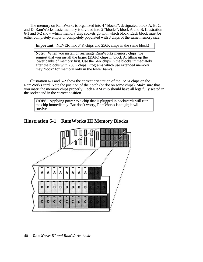The memory on RamWorks is organized into 4 "blocks", designated block A, B, C, and D. RamWorks basic memory is divided into 2 "blocks", block A and B. Illustration 6-1 and 6-2 show which memory chip sockets go with which block. Each block must be either completely empty or completely populated with 8 chips of the same memory size.

**Important:** NEVER mix 64K chips and 256K chips in the same block!

**Note:** When you install or rearrange RamWorks memory chips, we suggest that you install the larger (256K) chips in block A, filling up the lower banks of memory first. Use the 64K chips in the blocks immediately after the blocks with 256K chips. Programs which use extended memory may "look" for memory only in the lower banks.

Illustration 6-1 and 6-2 show the correct orientation of the RAM chips on the RamWorks card. Note the position of the notch (or dot on some chips). Make sure that you insert the memory chips properly. Each RAM chip should have all legs fully seated in the socket and in the correct position.

**OOPS!** Applying power to a chip that is plugged in backwards will ruin the chip immediately. But don't worry, RamWorks is tough; it will survive.

**Illustration 6-1 RamWorks III Memory Blocks**

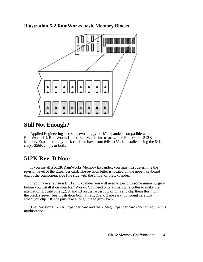**Illustration 6-2 RamWorks basic Memory Blocks**



## <span id="page-46-0"></span>**Still Not Enough?**

Applied Engineering also sells two "piggy-back" expanders compatible with RamWorks III, RamWorks II, and RamWorks basic cards. The RamWorks 512K Memory Expander piggy-back card can have from 64K to 512K installed using the 64K chips, 256K chips, or both.

## **512K Rev. B Note**

If you install a 512K RamWorks Memory Expander, you must first determine the revision level of the Expander card. The revision letter is located on the upper, keyboard end of the component side (the side with the chips) of the Expander.

if you have a revision B 512K Expander you will need to perform some minor surgery before you install it on your RamWorks. You need only a small wire cutter to make the altercation. Locate pins 1,2, 3, and 13 on the larger row of pins and clip them flush with the black sleeve. (See illustration 6-3.) Pins 1, 2, and 3 are easy, but count carefully when you clip 13! The pins take a long time to grow back.

The Revision C 512K Expander card and the 2 Meg Expander cards do not require this modification!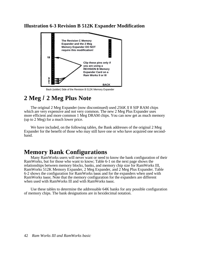## **Illustration 6-3 Revision B 512K Expander Modification**



Back (solder) Side of the Revision B 512K Memory Expander

## **2 Meg** *I* **2 Meg Plus Note**

The original 2 Meg Expander (now discontinued) used *256K X* 8 SIP RAM chips which are very expensive and not very common. The new 2 Meg Plus Expander uses more efficient and more common 1 Meg DRAM chips. You can now get as much memory (up to 2 Meg) for a much lower price.

<span id="page-47-0"></span>We have included, on the following tables, the Bank addresses of the original 2 Meg Expander for the benefit of those who may still have one or who have acquired one secondhand.

## **Memory Bank Configurations**

Many RamWorks users will never want or need to know the bank configuration of their RamWorks, but for those who want to know; Table 6-1 on the next page shows the relationships between memory blocks, banks, and memory chip size for RamWorks III, RamWorks 512K Memory Expander, 2 Meg Expander, and 2 Meg Plus Expander. Table 6-2 shows the configuration for RamWorks basic and for the expanders when used with RamWorks basic. Note that the memory configuration for the expanders are different when used with RamWorks Ill and with RamWorks basic.

Use these tables to determine the addressable 64K banks for any possible configuration of memory chips. The bank designations are in hexidecimal notation.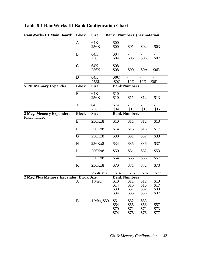| <b>RamWorks III Main Board:</b>           | <b>Block</b>              | <b>Size</b> |                  | <b>Bank</b> Numbers (hex notation) |                          |                          |
|-------------------------------------------|---------------------------|-------------|------------------|------------------------------------|--------------------------|--------------------------|
|                                           | $\overline{A}$            | 64K         | $\overline{500}$ |                                    |                          |                          |
|                                           |                           | 256K        | \$00             | \$01                               | \$02                     | \$03                     |
|                                           | $\bf{B}$                  | 64K         | \$04             |                                    |                          |                          |
|                                           |                           | 256K        | \$04             | \$05                               | \$06                     | \$07                     |
|                                           | $\overline{\mathsf{C}}$   | 64K         | \$08             | $\overline{a}$                     | $\overline{\phantom{0}}$ | $\overline{a}$           |
|                                           |                           | 256K        | \$08             | \$09                               | \$0A                     | \$0B                     |
|                                           | D                         | 64K         | \$0C             |                                    | $\overline{\phantom{a}}$ | $\overline{\phantom{0}}$ |
|                                           |                           | 256K        | \$0C             | \$0 <sub>D</sub>                   | \$0E                     | \$0F                     |
| <b>512K Memory Expander:</b>              | <b>Block</b>              | <b>Size</b> |                  | <b>Bank Numbers</b>                |                          |                          |
|                                           | $\overline{E}$            | 64K         | \$10             |                                    | $\overline{a}$           | $\overline{a}$           |
|                                           |                           | 256K        | \$10             | \$11                               | \$12                     | \$13                     |
|                                           | $\boldsymbol{\mathrm{F}}$ | 64K         | \$14             | $\overline{\phantom{0}}$           | $\overline{\phantom{a}}$ | $\overline{\phantom{0}}$ |
|                                           |                           | 256K        | \$14             | \$15                               | \$16                     | \$17                     |
| 2 Meg. Memory Expander:<br>(discontinued) | <b>Block</b>              | <b>Size</b> |                  | <b>Bank Numbers</b>                |                          |                          |
|                                           | $\overline{E}$            | 256Kx8      | \$10             | \$11                               | \$12                     | \$13                     |
|                                           | $\overline{F}$            | 256Kx8      | \$14             | \$15                               | \$16                     | \$17                     |
|                                           | $\overline{G}$            | 256Kx8      | $\overline{$30}$ | $\overline{$31}$                   | \$32                     | \$33                     |
|                                           | $\overline{H}$            | 256Kx8      | \$34             | $\overline{$}35$                   | \$36                     | $\overline{$37}$         |
|                                           | Ī                         | 256Kx8      | \$50             | \$51                               | $\overline{$}52$         | $\overline{$}53$         |
|                                           | Ţ                         | 256Kx8      | \$54             | \$55                               | \$56                     | \$57                     |
|                                           | $\overline{\mathrm{K}}$   | 256Kx8      | $\overline{$70}$ | $\overline{$}71$                   | $\overline{$72}$         | $\overline{$73}$         |
|                                           |                           | 256K x 8    |                  | \$74<br>\$75                       | \$76                     | \$77                     |
| 2 Meg Plus Memory Expander: Block Size    |                           |             |                  | <b>Bank Numbers</b>                |                          |                          |
|                                           | A                         | 1 Meg       | \$10             | \$11                               | \$12                     | \$13                     |
|                                           |                           |             | \$14             | \$15                               | \$16                     | \$17                     |
|                                           |                           |             | \$30             | \$31                               | \$32                     | \$33                     |
|                                           |                           |             | \$34             | \$35                               | \$36                     | \$37                     |
|                                           | $\bf{B}$                  | 1 Meg \$50  | \$51             | \$52                               | \$53                     |                          |
|                                           |                           |             | \$54             | \$55                               | \$56                     | \$57                     |
|                                           |                           |             | \$70             | \$71                               | \$72                     | \$73                     |
|                                           |                           |             | \$74             | \$75                               | \$76                     | \$77                     |

## **Table 6-1 RamWorks III Bank Configuration Chart**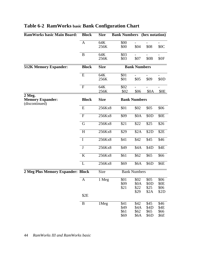| <b>RamWorks basic Main Board:</b>                                | <b>Block</b>         | <b>Size</b> | <b>Bank Numbers</b> (hex notation) |                              |                                      |                                            |
|------------------------------------------------------------------|----------------------|-------------|------------------------------------|------------------------------|--------------------------------------|--------------------------------------------|
|                                                                  | $\mathbf{A}$         | 64K<br>256K | \$00<br>\$00                       | \$04                         | \$08                                 | \$0C                                       |
|                                                                  | B                    | 64K<br>256K | \$03<br>\$03                       | \$07                         | \$0 <sub>B</sub>                     | \$0F                                       |
| <b>512K Memory Expander:</b>                                     | <b>Block</b>         | <b>Size</b> |                                    |                              | <b>Bank Numbers</b>                  |                                            |
|                                                                  | E                    | 64K<br>256K | \$01<br>\$01                       | \$05                         | \$09                                 | \$0D                                       |
|                                                                  | $\overline{F}$       | 64K<br>256K | \$02<br>\$02                       | \$06                         | \$0A                                 | \$0 <sub>E</sub>                           |
| $\overline{2}$ Meg.<br><b>Memory Expander:</b><br>(discontinued) | <b>Block</b>         | <b>Size</b> |                                    | <b>Bank Numbers</b>          |                                      |                                            |
|                                                                  | E                    | 256Kx8      | \$01                               | \$02                         | \$05                                 | \$06                                       |
|                                                                  | $\mathbf{F}$         | 256Kx8      | \$09                               | \$0A                         | \$0D                                 | \$0E                                       |
|                                                                  | G                    | 256Kx8      | \$21                               | \$22                         | \$25                                 | \$26                                       |
|                                                                  | H                    | 256Kx8      | \$29                               | \$2A                         | \$2D                                 | \$2E                                       |
|                                                                  | $\mathbf I$          | 256Kx8      | \$41                               | \$42                         | \$45                                 | \$46                                       |
|                                                                  | $\mathbf{J}$         | 256Kx8      | \$49                               | \$4A                         | \$4D                                 | \$4E                                       |
|                                                                  | $\bf K$              | 256Kx8      | \$61                               | \$62                         | \$65                                 | \$66                                       |
|                                                                  | L                    | 256Kx8      | \$69                               | \$6A                         | \$6D                                 | \$6E                                       |
| 2 Meg Plus Memory Expander: Block                                |                      | Size        | <b>Bank Numbers</b>                |                              |                                      |                                            |
|                                                                  | $\mathbf{A}$<br>\$2E | 1 Meg       | $\overline{$}01$<br>\$09<br>\$21   | \$02<br>\$0A<br>\$22<br>\$29 | $\sqrt{$05}$<br>\$0D<br>\$25<br>\$2A | \$06<br>\$0 <sub>E</sub><br>\$06<br>\$2D   |
|                                                                  | B                    | 1Meg        | \$41<br>\$49<br>\$61<br>\$69       | \$42<br>\$4A<br>\$62<br>\$6A | \$45<br>\$4D<br>\$65<br>\$6D         | \$46<br>\$4E<br>\$66<br><i><b>\$6E</b></i> |

## **Table 6-2 RamWorks basic Bank Configuration Chart**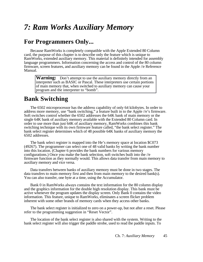## *7: Ram Works Auxiliary Memory*

## **For Programmers Only...**

Because RamWorks is completely compatible with the Apple Extended 80 Column card, the purpose of this chapter is to describe only the feature which is unique to RamWorks, extended auxiliary memory. This material is definitely intended for assembly language programmers. Information concerning the access and control of the 80 column firmware, screen features, and auxiliary memory can be found in the Apple //e Reference Manual.

**Warning:** Don't attempt to use the auxiliary memory directly from an interpreter such as BASIC or Pascal. These interpreters use certain portions of main memory that, when switched to auxiliary memory can cause your program and the interpreter to "bomb".

## **Bank Switching**

<span id="page-50-0"></span>The 6502 microprocessor has the address capability of only 64 kilobytes. In order to address more memory, use "bank switching," a feature built in to the Apple //e's firmware. Soft switches control whether the 6502 addresses the 64K bank of main memory or the single 64K bank of auxiliary memory available with the Extended 80 Column card. In order to use more than just 64K of auxiliary memory, RamWorks combines this bank switching technique with its own firmware feature called, "the bank select register." The bank select register determines which of 48 possible 64K banks of auxiliary memory the 6502 addresses.

The bank select register is mapped into the He's memory space at location \$C073 (49267). The programmer can select one of 48 valid banks by writing the bank number into this location. (Chapter 6 provides the bank numbers for various memory configurations.) Once you make the bank selection, soft switches built into the //e firmware function as they normally would. This allows data transfer from main memory to auxiliary memory and vice versa.

Data transfers between banks of auxiliary memory must be done in two stages. The data transfers to main memory first and then from main memory to the desired bank(s). You can also transfer, one byte at a time, using the Accumulator.

Bank 0 in RamWorks always contains the text information for the 80 column display and the graphics information for the double high resolution display. This bank must be active whenever the program updates the display screen. Only Bank 0 contains the video information. This feature, unique to RamWorks, eliminates a screen flicker problem inherent with some other brands of memory cards when they access other banks.

The bank select register is initialized to zero on a power-up, but not after a reset. Please refer to the programming suggestion in "Reset Vector".

The location of the bank select register is also shared with the system. Writing to the bank select register will also trigger the paddle strobe, used to read the paddle inputs. To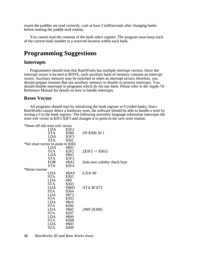insure the paddles are read correctly, wait at least 3 milliseconds after changing banks before starting the paddle read routine.

You cannot read the contents of the bank select register. The program must keep track of the current bank number in a reserved location within each bank.

## **Programming Suggestions**

#### **Interrupts**

Programmers should note that RamWorks has multiple interrupt vectors. Since the interrupt vector is located at \$FFFE, each auxiliary bank of memory contains an interrupt vector. Auxiliary memory may be switched in when an interrupt occurs; therefore, you should prepare routines that use auxiliary memory to disable or process interrupts. You should disable interrupts in programs which do not use them. Please refer to the Apple //e Reference Manual for details on how to handle interrupts.

#### **Reset Vector**

All programs should start by initializing the bank register to 0 (video bank). Since RamWorks cannot detect a hardware reset, the software should be able to handle a reset by storing a 0 in the bank register. The following assembly language subroutine intercepts the reset soft vector at \$3F2-\$3F3 and changes it to point to the new reset routine.

<span id="page-51-0"></span>

| *Store off old reset soft vector    |                   |                                |
|-------------------------------------|-------------------|--------------------------------|
| <b>LDA</b>                          | \$3F2             |                                |
| <b>STA</b>                          | \$300             | $;IN$ \$300.30 1               |
| <b>LDA</b>                          | \$3F3             |                                |
| <b>STA</b>                          | \$301             |                                |
| *Set reset vector to point to \$302 |                   |                                |
| LDA                                 | #\$02             |                                |
| <b>STA</b>                          | \$3F2             | $\frac{1}{2}$ (\$3F2 -> \$302) |
| <b>LDA</b>                          | #\$03             |                                |
| <b>STA</b>                          | \$3F <sub>3</sub> |                                |
| <b>EOR</b>                          | #\$A5             | Inits new validity check byte  |
| <b>STA</b>                          | \$3F4             |                                |
| *Reset routine                      |                   |                                |
| LDA                                 | #\$A9             | $: LDA \#0$                    |
| <b>STA</b>                          | \$302             |                                |
| <b>LDA</b>                          | #\$0              |                                |
| <b>STA</b>                          | \$303             |                                |
| <b>LDA</b>                          | #\$8D             | STA \$C073;                    |
| <b>STA</b>                          | \$304             |                                |
| <b>LDA</b>                          | #\$73             |                                |
| <b>STA</b>                          | \$305             |                                |
| LDA                                 | $#$ ScO           |                                |
| STA                                 | \$306             |                                |
| LDA                                 | # $$6C$           | ;JMP (\$300)                   |
| STA                                 | \$307             |                                |
| <b>LDA</b>                          | #\$00             |                                |
| STA                                 | \$308             |                                |
| LDA                                 | #\$03             |                                |
| <b>STA</b>                          | \$309             |                                |

46 *RamWorks III and Ram Works basic*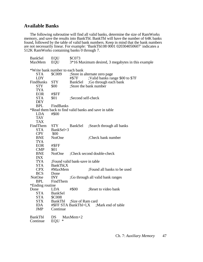### **Available Banks**

The following subroutine will find all valid banks, determine the size of RamWorks memory, and save the results into BankTbl. BankTbl will have the number of 64K banks found, followed by the table of valid bank numbers. Keep in mind that the bank numbers are not necessarily linear. For example: 'BankTbl:08 0001 020304050607' indicates a 512K RamWorks containing banks 0 through 7.

| <b>BankSel</b>                  | <b>EQU</b>     | \$C073                                                |  |  |  |  |
|---------------------------------|----------------|-------------------------------------------------------|--|--|--|--|
| MaxMem                          | EQU            | 3*16 Maximum desired, 3 megabytes in this example     |  |  |  |  |
| *Write bank number to each bank |                |                                                       |  |  |  |  |
| <b>STA</b>                      | \$C009         |                                                       |  |  |  |  |
| <b>LDY</b>                      |                | ;Store in alternate zero page                         |  |  |  |  |
|                                 |                | ;Valid banks range \$00 to \$7F<br>#\$7F              |  |  |  |  |
| FindBanks                       | <b>STY</b>     | BankSel<br>;Go through each bank                      |  |  |  |  |
| <b>STY</b>                      | \$00           | ;Store the bank number                                |  |  |  |  |
| <b>TYA</b>                      |                |                                                       |  |  |  |  |
| <b>EOR</b>                      | #\$FF          |                                                       |  |  |  |  |
| <b>STA</b>                      | \$01           | ;Second self-check                                    |  |  |  |  |
| <b>DEY</b>                      |                |                                                       |  |  |  |  |
| <b>BPL</b>                      | FindBanks      |                                                       |  |  |  |  |
|                                 |                | *Read them back to find valid banks and save in table |  |  |  |  |
| <b>LDA</b>                      | #\$00          |                                                       |  |  |  |  |
| <b>TAY</b>                      |                |                                                       |  |  |  |  |
| <b>TAX</b>                      |                |                                                       |  |  |  |  |
| FindThem                        | STY            | ;Search through all banks<br><b>BankSel</b>           |  |  |  |  |
| <b>STA</b>                      | BankSel+3      |                                                       |  |  |  |  |
| <b>CPY</b>                      | \$00           |                                                       |  |  |  |  |
| <b>BNE</b>                      | NotOne         | ;Check bank number                                    |  |  |  |  |
| <b>TYA</b>                      |                |                                                       |  |  |  |  |
| <b>EOR</b>                      | #\$FF          |                                                       |  |  |  |  |
| <b>CMP</b>                      | \$01           |                                                       |  |  |  |  |
| <b>BNE</b>                      | NotOne         | :Check second double-check                            |  |  |  |  |
| <b>INX</b>                      |                |                                                       |  |  |  |  |
| <b>TYA</b>                      |                | :Found valid bank-save in table                       |  |  |  |  |
| <b>STA</b>                      | BankTbl,X      |                                                       |  |  |  |  |
| <b>CPX</b>                      | #MaxMem        | ; Found all banks to be used                          |  |  |  |  |
| <b>BCS</b>                      | Done           |                                                       |  |  |  |  |
| NotOne                          | <b>INY</b>     | ;Go through all valid bank ranges                     |  |  |  |  |
| <b>BPL</b>                      | FindThem       |                                                       |  |  |  |  |
| *Ending routine                 |                |                                                       |  |  |  |  |
| Done                            | <b>LDA</b>     | #\$00<br>;Reset to video bank                         |  |  |  |  |
| <b>STA</b>                      | <b>BankSel</b> |                                                       |  |  |  |  |
| <b>STA</b>                      | \$C008         |                                                       |  |  |  |  |
| <b>STX</b>                      | <b>BankTbl</b> | ;Size of Ram card                                     |  |  |  |  |
| <b>IDA</b>                      |                | #\$FF STA BankTbl+l,X ;Mark end of table              |  |  |  |  |
| <b>JMP</b>                      | Continue       |                                                       |  |  |  |  |
| <b>BankTbl</b>                  | DS             | $MaxMem+2$                                            |  |  |  |  |
| Continue                        | EQU<br>∗       |                                                       |  |  |  |  |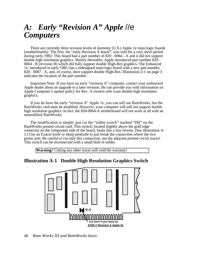## *A: Early "Revision A" Apple* //e *Computers*

There are currently three revision levels of domestic (U.S.) Apple //e main logic boards (motherboards). The first, the "early Revision A board", was sold for a very short period during early 1983. This board had a part number of 820 - 0064 - A and it did not support double high resolution graphics. Shortly thereafter, Apple introduced part number 820 - 0064 - B (revision B) which did fully support double High-Res graphics. The Enhanced //e, introduced in early 1985, has a redesigned main logic board with a new part number, 820 - 0087 - A, and, of course, does support double High-Res. Illustration 2-1 on page 3 indicates the location of the part number.

Important Note: If you have an early "revision A" computer, contact your authorized Apple dealer about an upgrade to a later revision. He can provide you with information on Apple Computer's update policy for Rev. A owners who want double high resolution graphics.

If you do have the early "revision A" Apple //e, you can still use RamWorks, but the RamWorks card must be modified. However, your computer will still not support double high resolution graphics. In fact, the 820-0064-A motherboard will not work at all with an unmodified RamWorks.

<span id="page-53-0"></span>The modification is simple; just cut the "solder switch" marked "DH" on the RamWorks printed circuit card. This switch, located slightly above the gold edge connector on the component side of the board, looks like a tiny bowtie. (See illustration A-1.) Use an Exacto knife or sharp penknife to just break the connection where the two points join. Be careful to cut only this connection, not the adjacent printed circuit traces! This switch can be reconnected with a small blob of solder.

**Warning!** Cutting any other traces will void the warranty!

## **Illustration A-1 Double High Resolution Graphics Switch**



48 *Ram Works III and RamWorks basic*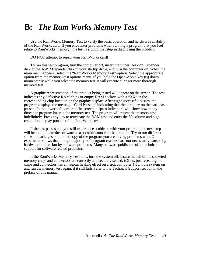## **B:** *The Ram Works Memory Test*

Use the RamWorks Memory Test to verify the basic operation and hardware reliability of the RamWorks card. If you encounter problems when running a program that you feel relate to RamWorks memory, this test is a good first step in diagnosing the problem.

DO NOT attempt to repair your RamWorks card!

To run this test program, turn the computer off, insert the Super Desktop Expander disk or the AW 2 Expander disk in your startup drive, and turn the computer on. When the main menu appears, select the "RamWorks Memory Test" option. Select the appropriate option from the memory-test options menu. If you hold the Open-Apple key  $\circled{c}$  down momentarily while you select the memory test, it will execute a longer more thorough memory test.

A graphic representation of the product being tested will appear on the screen. The test indicates any defective RAM chips or empty RAM sockets with a "XX" in the corresponding chip location on the graphic display. After eight successful passes, the program displays the message "Card Passed," indicating that the circuitry on the card has passed. In the lower left corner of the screen, a "pass indicator" will show how many times the program has run the memory test. The program will repeat the memory test indefinitely. Press any key to terminate the RAM test and enter the 80 column and highresolution display portion of the RamWorks test.

<span id="page-54-0"></span>If the test passes and you still experience problems with your program, the next step will be to eliminate the software as a possible source of the problem. Try to run different software packages or another copy of the program you are having problems with. Our experience shows that a large majority of "program crashes" are not necessarily caused by hardware failures but by software problems. Many software publishers offer technical support for software related problems.

If the RamWorks Memory Test fails, turn the system off, insure that all of the socketed memory chips and connectors are correctly and securely seated. (Often, just reseating the chips and connectors has a magical healing effect on a sick computer!) Turn the system on and run the memory test again, if it still fails, refer to the Technical Support section in the preface of this manual.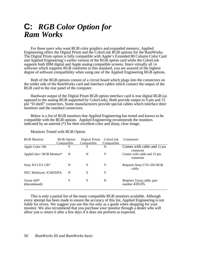## **C:** *RGB Color Option for Ram Works*

For those users who want RGB color graphics and expanded memory, Applied Engineering offers the Digital Prism and the ColorLink RGB options for the RamWorks. The Digital Prism option is fully compatible with Apple's Extended 80 Column Color Card and Applied Engineering's earlier version of the RGB option card while the ColorLink supports both IBM digital and Apple analog compatible screens. Since virtually all //e software which supports RGB conforms to this standard, you are assured of the highest degree of software compatibility when using one of the Applied Engineering RGB options.

Both of the RGB options consist of a circuit board which plugs into the connectors on the solder side of the RamWorks card and interface cables which connect the output of the RGB card to the rear panel of the computer.

Hardware output of the Digital Prism RGB option interface card is true digital RGB (as opposed to the analog RGB supported by ColorLink). Both provide output to 9 pin and 15 pin "D-shell" connectors. Some manufacturers provide special cables which interface their monitors and the standard connectors.

<span id="page-55-0"></span>Below is a list of RGB monitors that Applied Engineering has tested and knows to be compatible with the RGB options. Applied Engineering recommends the monitors indicated by an asterisk (\*) for their excellent color and sharp, clear image.

| <b>RGB</b> Monitor              | <b>RGB</b> Option<br>Compatible | Digital Prism<br>Compatible | ColorLink<br>Compatible | Comments                                     |
|---------------------------------|---------------------------------|-----------------------------|-------------------------|----------------------------------------------|
| Apple Color 100                 | Y                               | v                           | N                       | Comes with cable and 15 pin<br>connector     |
| AppleColor~ RGB Monitor*        | N                               | N                           | Y                       | Comes with cable and 15 pin<br>connector     |
| Sony KV1311 CR*                 | N                               | Y                           | Y                       | Requires Sony CTG-503 RGB<br>cable.          |
| NEC Multisync JCl4Ol3PA         | N                               | Y                           | Y                       |                                              |
| Taxan 420 $*$<br>(discontinued) | Y                               | Y                           | N                       | Requires Taxan cable, part<br>number 410-05. |

Monitors Tested with RGB Option

This is only a partial list of the many compatible RGB monitors available. Although every attempt has been made to ensure the accuracy of this list, Applied Engineering is not liable for errors. We suggest you use this list only as a guide when shopping for your monitor. We also recommend that you purchase your monitor through a dealer who will allow you to return it after a few days if it does not perform as expected.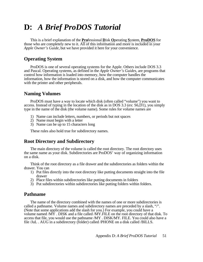## **D:** *A Brief ProDOS Tutorial*

This is a brief explanation of the **Pro**fessional **D**isk **O**perating **S**ystem, **ProDOS** for those who are completely new to it. All of this information and more is included in your *Apple Owner's Guide,* but we have provided it here for your convenience.

## **Operating System**

ProDOS is one of several operating systems for the Apple. Others include DOS 3.3 and Pascal. Operating systems, as defined in the *Apple Owner's Guides,* are programs that control how information is loaded into memory, how the computer handles the information, how the information is stored on a disk, and how the computer communicates with the printer and other peripherals.

## **Naming Volumes**

<span id="page-56-0"></span>ProDOS must have a way to locate which disk (often called "volume") you want to access. Instead of typing in the location of the disk as in DOS 3.3 (ex: S6,D1), you simply type in the name of the disk (the volume name). Some rules for volume names are

- 1) Name can include letters, numbers, or periods but not spaces
- 2) Name must begin with a letter
- 3) Name can be up to 15 characters long

These rules also hold true for subdirectory names.

## **Root Directory and Subdirectory**

The main directory of the volume is called the root directory. The root directory uses the same name as your disk. Subdirectories are ProDOS' way of organizing information on a disk.

Think of the root directory as a file drawer and the subdirectories as folders within the drawer. You can

- 1) Put files directly into the root directory like putting documents straight into the file drawer
- 2) Place files within subdirectories like putting documents in folders
- 3) Put subdirectories within subdirectories like putting folders within folders.

## **Pathname**

The name of the directory combined with the names of one or more subdirectories is called a pathname. Volume names and subdirectory names are preceded by a slash, "/". (Note that some applications add the slash for you.) For example, you could have a volume named /MY . DISK and a file called /MY.FILE on the root directory of that disk. To access that file, you would use the pathname /MY . DISK/MY. FILE. You could also have a file /JuL . AUG in a subdirectory (folder) called /PHONE on a disk called /BILLS.